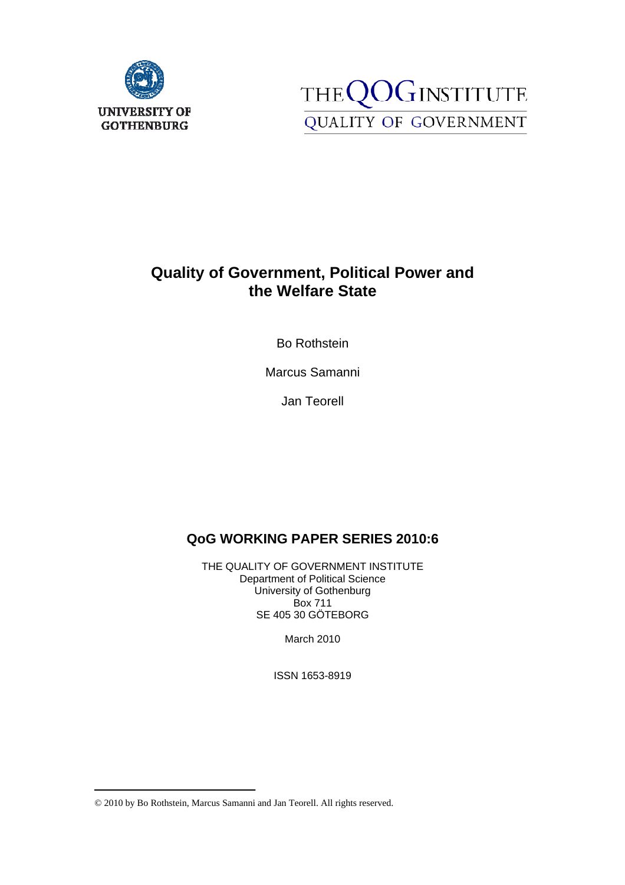



# **Quality of Government, Political Power and the Welfare State**

Bo Rothstein

Marcus Samanni

Jan Teorell

# **QoG WORKING PAPER SERIES 2010:6=**

THE QUALITY OF GOVERNMENT INSTITUTE Department of Political Science University of Gothenburg Box 711 SE 405 30 GÖTEBORG

March 2010

ISSN 1653-8919

<sup>© 2010</sup> by Bo Rothstein, Marcus Samanni and Jan Teorell. All rights reserved.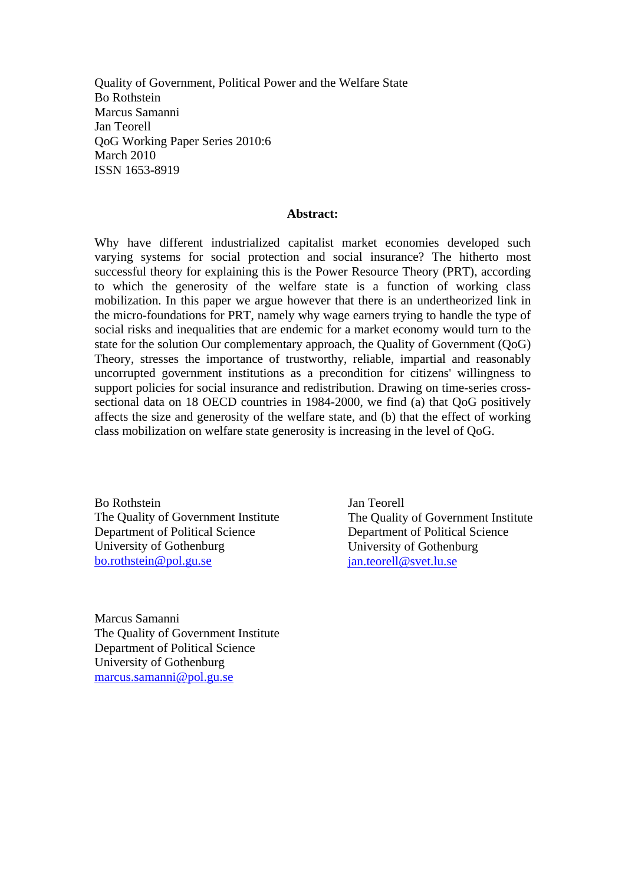Quality of Government, Political Power and the Welfare State Bo Rothstein Marcus Samanni Jan Teorell QoG Working Paper Series 2010:6 March 2010 ISSN 1653-8919

#### **Abstract:**

Why have different industrialized capitalist market economies developed such varying systems for social protection and social insurance? The hitherto most successful theory for explaining this is the Power Resource Theory (PRT), according to which the generosity of the welfare state is a function of working class mobilization. In this paper we argue however that there is an undertheorized link in the micro-foundations for PRT, namely why wage earners trying to handle the type of social risks and inequalities that are endemic for a market economy would turn to the state for the solution Our complementary approach, the Quality of Government (QoG) Theory, stresses the importance of trustworthy, reliable, impartial and reasonably uncorrupted government institutions as a precondition for citizens' willingness to support policies for social insurance and redistribution. Drawing on time-series crosssectional data on 18 OECD countries in 1984-2000, we find (a) that QoG positively affects the size and generosity of the welfare state, and (b) that the effect of working class mobilization on welfare state generosity is increasing in the level of QoG.

Bo Rothstein The Quality of Government Institute Department of Political Science University of Gothenburg bo.rothstein@pol.gu.se

Marcus Samanni The Quality of Government Institute Department of Political Science University of Gothenburg marcus.samanni@pol.gu.se

Jan Teorell The Quality of Government Institute Department of Political Science University of Gothenburg jan.teorell@svet.lu.se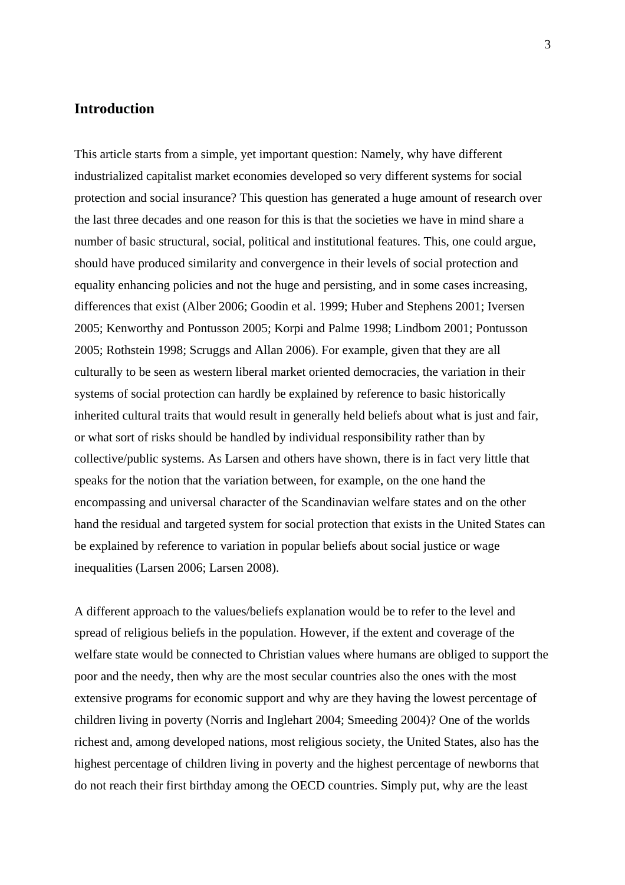## **Introduction**

This article starts from a simple, yet important question: Namely, why have different industrialized capitalist market economies developed so very different systems for social protection and social insurance? This question has generated a huge amount of research over the last three decades and one reason for this is that the societies we have in mind share a number of basic structural, social, political and institutional features. This, one could argue, should have produced similarity and convergence in their levels of social protection and equality enhancing policies and not the huge and persisting, and in some cases increasing, differences that exist (Alber 2006; Goodin et al. 1999; Huber and Stephens 2001; Iversen 2005; Kenworthy and Pontusson 2005; Korpi and Palme 1998; Lindbom 2001; Pontusson 2005; Rothstein 1998; Scruggs and Allan 2006). For example, given that they are all culturally to be seen as western liberal market oriented democracies, the variation in their systems of social protection can hardly be explained by reference to basic historically inherited cultural traits that would result in generally held beliefs about what is just and fair, or what sort of risks should be handled by individual responsibility rather than by collective/public systems. As Larsen and others have shown, there is in fact very little that speaks for the notion that the variation between, for example, on the one hand the encompassing and universal character of the Scandinavian welfare states and on the other hand the residual and targeted system for social protection that exists in the United States can be explained by reference to variation in popular beliefs about social justice or wage inequalities (Larsen 2006; Larsen 2008).

A different approach to the values/beliefs explanation would be to refer to the level and spread of religious beliefs in the population. However, if the extent and coverage of the welfare state would be connected to Christian values where humans are obliged to support the poor and the needy, then why are the most secular countries also the ones with the most extensive programs for economic support and why are they having the lowest percentage of children living in poverty (Norris and Inglehart 2004; Smeeding 2004)? One of the worlds richest and, among developed nations, most religious society, the United States, also has the highest percentage of children living in poverty and the highest percentage of newborns that do not reach their first birthday among the OECD countries. Simply put, why are the least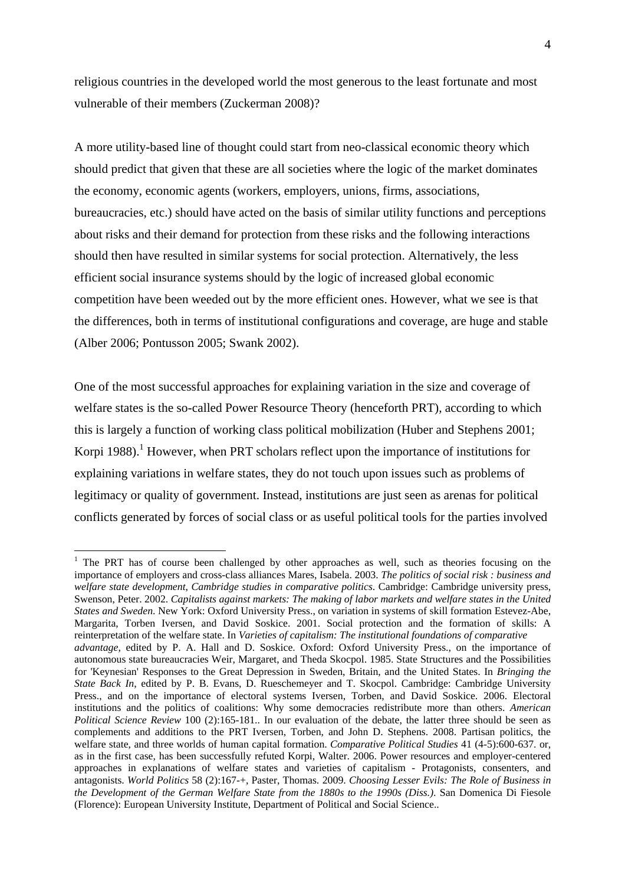religious countries in the developed world the most generous to the least fortunate and most vulnerable of their members (Zuckerman 2008)?

A more utility-based line of thought could start from neo-classical economic theory which should predict that given that these are all societies where the logic of the market dominates the economy, economic agents (workers, employers, unions, firms, associations, bureaucracies, etc.) should have acted on the basis of similar utility functions and perceptions about risks and their demand for protection from these risks and the following interactions should then have resulted in similar systems for social protection. Alternatively, the less efficient social insurance systems should by the logic of increased global economic competition have been weeded out by the more efficient ones. However, what we see is that the differences, both in terms of institutional configurations and coverage, are huge and stable (Alber 2006; Pontusson 2005; Swank 2002).

One of the most successful approaches for explaining variation in the size and coverage of welfare states is the so-called Power Resource Theory (henceforth PRT), according to which this is largely a function of working class political mobilization (Huber and Stephens 2001; Korpi 1988).<sup>1</sup> However, when PRT scholars reflect upon the importance of institutions for explaining variations in welfare states, they do not touch upon issues such as problems of legitimacy or quality of government. Instead, institutions are just seen as arenas for political conflicts generated by forces of social class or as useful political tools for the parties involved

<sup>&</sup>lt;sup>1</sup> The PRT has of course been challenged by other approaches as well, such as theories focusing on the importance of employers and cross-class alliances Mares, Isabela. 2003. *The politics of social risk : business and welfare state development*, *Cambridge studies in comparative politics*. Cambridge: Cambridge university press, Swenson, Peter. 2002. *Capitalists against markets: The making of labor markets and welfare states in the United States and Sweden*. New York: Oxford University Press., on variation in systems of skill formation Estevez-Abe, Margarita, Torben Iversen, and David Soskice. 2001. Social protection and the formation of skills: A reinterpretation of the welfare state. In *Varieties of capitalism: The institutional foundations of comparative advantage*, edited by P. A. Hall and D. Soskice. Oxford: Oxford University Press., on the importance of autonomous state bureaucracies Weir, Margaret, and Theda Skocpol. 1985. State Structures and the Possibilities for 'Keynesian' Responses to the Great Depression in Sweden, Britain, and the United States. In *Bringing the State Back In*, edited by P. B. Evans, D. Rueschemeyer and T. Skocpol. Cambridge: Cambridge University Press., and on the importance of electoral systems Iversen, Torben, and David Soskice. 2006. Electoral institutions and the politics of coalitions: Why some democracies redistribute more than others. *American Political Science Review* 100 (2):165-181.. In our evaluation of the debate, the latter three should be seen as complements and additions to the PRT Iversen, Torben, and John D. Stephens. 2008. Partisan politics, the welfare state, and three worlds of human capital formation. *Comparative Political Studies* 41 (4-5):600-637. or, as in the first case, has been successfully refuted Korpi, Walter. 2006. Power resources and employer-centered approaches in explanations of welfare states and varieties of capitalism - Protagonists, consenters, and antagonists. *World Politics* 58 (2):167-+, Paster, Thomas. 2009. *Choosing Lesser Evils: The Role of Business in the Development of the German Welfare State from the 1880s to the 1990s (Diss.)*. San Domenica Di Fiesole (Florence): European University Institute, Department of Political and Social Science..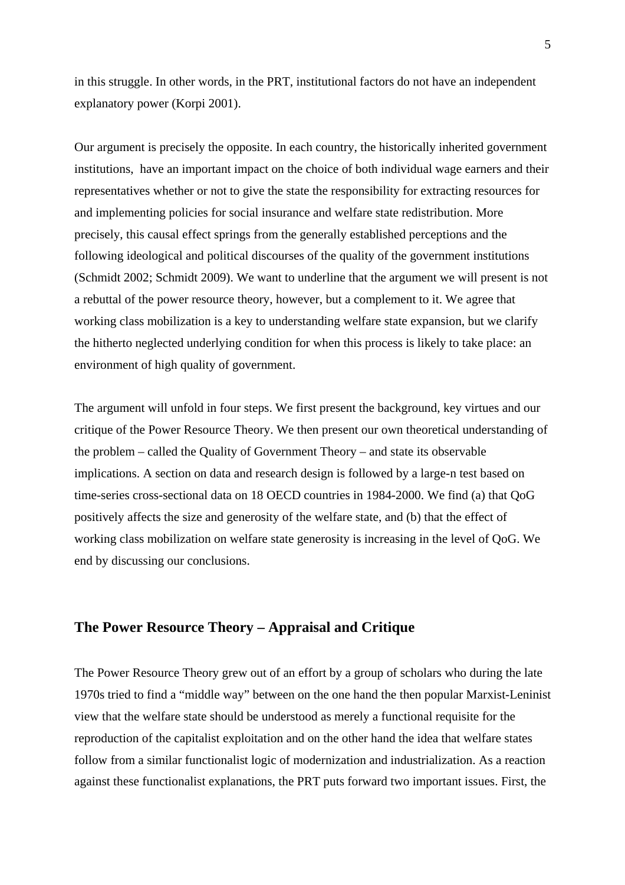in this struggle. In other words, in the PRT, institutional factors do not have an independent explanatory power (Korpi 2001).

Our argument is precisely the opposite. In each country, the historically inherited government institutions, have an important impact on the choice of both individual wage earners and their representatives whether or not to give the state the responsibility for extracting resources for and implementing policies for social insurance and welfare state redistribution. More precisely, this causal effect springs from the generally established perceptions and the following ideological and political discourses of the quality of the government institutions (Schmidt 2002; Schmidt 2009). We want to underline that the argument we will present is not a rebuttal of the power resource theory, however, but a complement to it. We agree that working class mobilization is a key to understanding welfare state expansion, but we clarify the hitherto neglected underlying condition for when this process is likely to take place: an environment of high quality of government.

The argument will unfold in four steps. We first present the background, key virtues and our critique of the Power Resource Theory. We then present our own theoretical understanding of the problem – called the Quality of Government Theory – and state its observable implications. A section on data and research design is followed by a large-n test based on time-series cross-sectional data on 18 OECD countries in 1984-2000. We find (a) that QoG positively affects the size and generosity of the welfare state, and (b) that the effect of working class mobilization on welfare state generosity is increasing in the level of QoG. We end by discussing our conclusions.

## **The Power Resource Theory – Appraisal and Critique**

The Power Resource Theory grew out of an effort by a group of scholars who during the late 1970s tried to find a "middle way" between on the one hand the then popular Marxist-Leninist view that the welfare state should be understood as merely a functional requisite for the reproduction of the capitalist exploitation and on the other hand the idea that welfare states follow from a similar functionalist logic of modernization and industrialization. As a reaction against these functionalist explanations, the PRT puts forward two important issues. First, the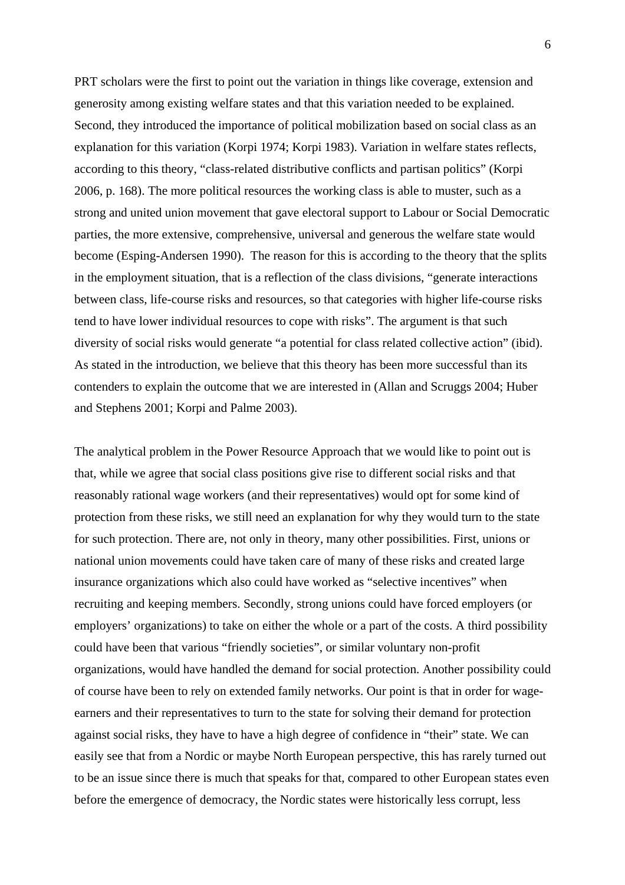PRT scholars were the first to point out the variation in things like coverage, extension and generosity among existing welfare states and that this variation needed to be explained. Second, they introduced the importance of political mobilization based on social class as an explanation for this variation (Korpi 1974; Korpi 1983). Variation in welfare states reflects, according to this theory, "class-related distributive conflicts and partisan politics" (Korpi 2006, p. 168). The more political resources the working class is able to muster, such as a strong and united union movement that gave electoral support to Labour or Social Democratic parties, the more extensive, comprehensive, universal and generous the welfare state would become (Esping-Andersen 1990). The reason for this is according to the theory that the splits in the employment situation, that is a reflection of the class divisions, "generate interactions between class, life-course risks and resources, so that categories with higher life-course risks tend to have lower individual resources to cope with risks". The argument is that such diversity of social risks would generate "a potential for class related collective action" (ibid). As stated in the introduction, we believe that this theory has been more successful than its contenders to explain the outcome that we are interested in (Allan and Scruggs 2004; Huber and Stephens 2001; Korpi and Palme 2003).

The analytical problem in the Power Resource Approach that we would like to point out is that, while we agree that social class positions give rise to different social risks and that reasonably rational wage workers (and their representatives) would opt for some kind of protection from these risks, we still need an explanation for why they would turn to the state for such protection. There are, not only in theory, many other possibilities. First, unions or national union movements could have taken care of many of these risks and created large insurance organizations which also could have worked as "selective incentives" when recruiting and keeping members. Secondly, strong unions could have forced employers (or employers' organizations) to take on either the whole or a part of the costs. A third possibility could have been that various "friendly societies", or similar voluntary non-profit organizations, would have handled the demand for social protection. Another possibility could of course have been to rely on extended family networks. Our point is that in order for wageearners and their representatives to turn to the state for solving their demand for protection against social risks, they have to have a high degree of confidence in "their" state. We can easily see that from a Nordic or maybe North European perspective, this has rarely turned out to be an issue since there is much that speaks for that, compared to other European states even before the emergence of democracy, the Nordic states were historically less corrupt, less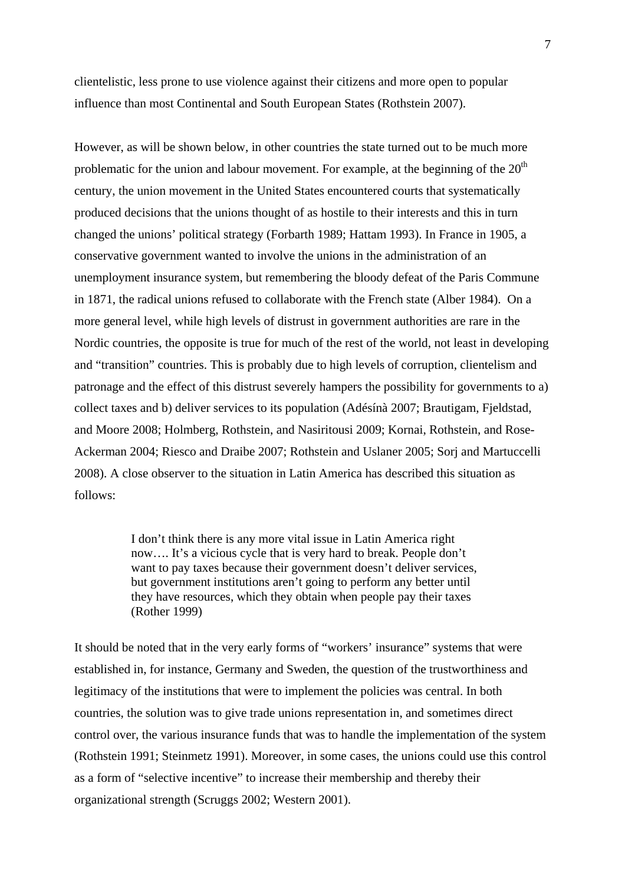clientelistic, less prone to use violence against their citizens and more open to popular influence than most Continental and South European States (Rothstein 2007).

However, as will be shown below, in other countries the state turned out to be much more problematic for the union and labour movement. For example, at the beginning of the  $20<sup>th</sup>$ century, the union movement in the United States encountered courts that systematically produced decisions that the unions thought of as hostile to their interests and this in turn changed the unions' political strategy (Forbarth 1989; Hattam 1993). In France in 1905, a conservative government wanted to involve the unions in the administration of an unemployment insurance system, but remembering the bloody defeat of the Paris Commune in 1871, the radical unions refused to collaborate with the French state (Alber 1984). On a more general level, while high levels of distrust in government authorities are rare in the Nordic countries, the opposite is true for much of the rest of the world, not least in developing and "transition" countries. This is probably due to high levels of corruption, clientelism and patronage and the effect of this distrust severely hampers the possibility for governments to a) collect taxes and b) deliver services to its population (Adésínà 2007; Brautigam, Fjeldstad, and Moore 2008; Holmberg, Rothstein, and Nasiritousi 2009; Kornai, Rothstein, and Rose-Ackerman 2004; Riesco and Draibe 2007; Rothstein and Uslaner 2005; Sorj and Martuccelli 2008). A close observer to the situation in Latin America has described this situation as follows:

> I don't think there is any more vital issue in Latin America right now…. It's a vicious cycle that is very hard to break. People don't want to pay taxes because their government doesn't deliver services, but government institutions aren't going to perform any better until they have resources, which they obtain when people pay their taxes (Rother 1999)

It should be noted that in the very early forms of "workers' insurance" systems that were established in, for instance, Germany and Sweden, the question of the trustworthiness and legitimacy of the institutions that were to implement the policies was central. In both countries, the solution was to give trade unions representation in, and sometimes direct control over, the various insurance funds that was to handle the implementation of the system (Rothstein 1991; Steinmetz 1991). Moreover, in some cases, the unions could use this control as a form of "selective incentive" to increase their membership and thereby their organizational strength (Scruggs 2002; Western 2001).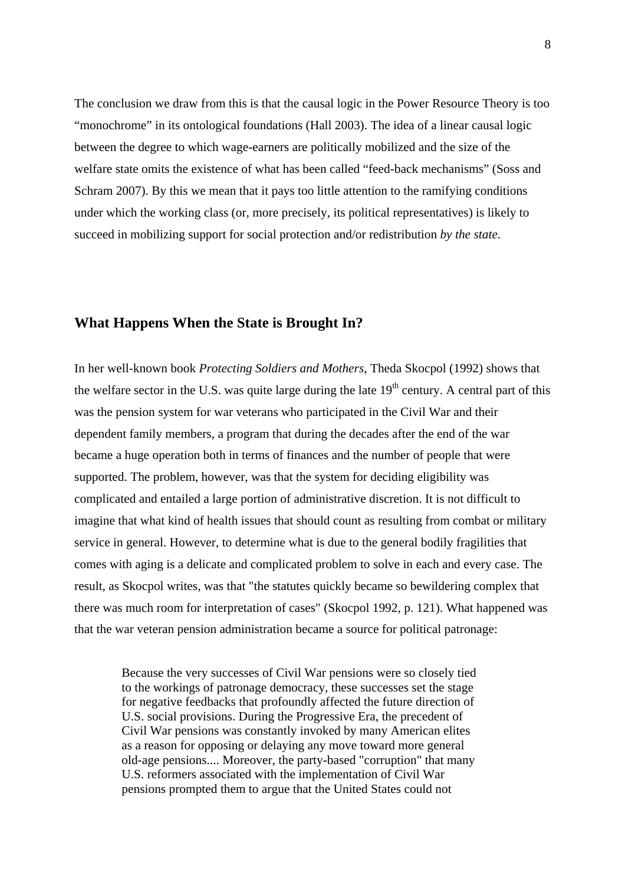The conclusion we draw from this is that the causal logic in the Power Resource Theory is too "monochrome" in its ontological foundations (Hall 2003). The idea of a linear causal logic between the degree to which wage-earners are politically mobilized and the size of the welfare state omits the existence of what has been called "feed-back mechanisms" (Soss and Schram 2007). By this we mean that it pays too little attention to the ramifying conditions under which the working class (or, more precisely, its political representatives) is likely to succeed in mobilizing support for social protection and/or redistribution *by the state.*

### **What Happens When the State is Brought In?**

In her well-known book *Protecting Soldiers and Mothers*, Theda Skocpol (1992) shows that the welfare sector in the U.S. was quite large during the late  $19<sup>th</sup>$  century. A central part of this was the pension system for war veterans who participated in the Civil War and their dependent family members, a program that during the decades after the end of the war became a huge operation both in terms of finances and the number of people that were supported. The problem, however, was that the system for deciding eligibility was complicated and entailed a large portion of administrative discretion. It is not difficult to imagine that what kind of health issues that should count as resulting from combat or military service in general. However, to determine what is due to the general bodily fragilities that comes with aging is a delicate and complicated problem to solve in each and every case. The result, as Skocpol writes, was that "the statutes quickly became so bewildering complex that there was much room for interpretation of cases" (Skocpol 1992, p. 121). What happened was that the war veteran pension administration became a source for political patronage:

Because the very successes of Civil War pensions were so closely tied to the workings of patronage democracy, these successes set the stage for negative feedbacks that profoundly affected the future direction of U.S. social provisions. During the Progressive Era, the precedent of Civil War pensions was constantly invoked by many American elites as a reason for opposing or delaying any move toward more general old-age pensions.... Moreover, the party-based "corruption" that many U.S. reformers associated with the implementation of Civil War pensions prompted them to argue that the United States could not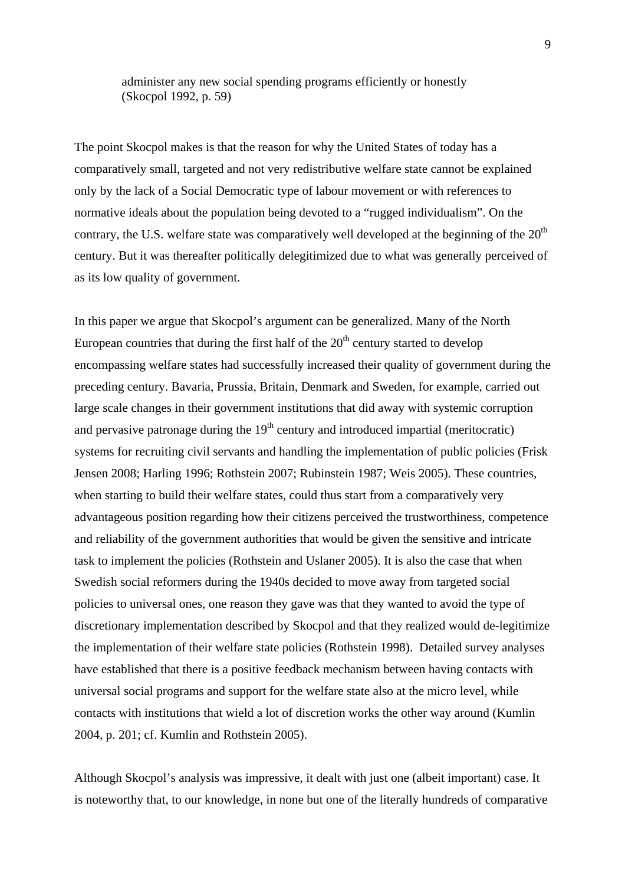administer any new social spending programs efficiently or honestly (Skocpol 1992, p. 59)

The point Skocpol makes is that the reason for why the United States of today has a comparatively small, targeted and not very redistributive welfare state cannot be explained only by the lack of a Social Democratic type of labour movement or with references to normative ideals about the population being devoted to a "rugged individualism". On the contrary, the U.S. welfare state was comparatively well developed at the beginning of the  $20<sup>th</sup>$ century. But it was thereafter politically delegitimized due to what was generally perceived of as its low quality of government.

In this paper we argue that Skocpol's argument can be generalized. Many of the North European countries that during the first half of the  $20<sup>th</sup>$  century started to develop encompassing welfare states had successfully increased their quality of government during the preceding century. Bavaria, Prussia, Britain, Denmark and Sweden, for example, carried out large scale changes in their government institutions that did away with systemic corruption and pervasive patronage during the  $19<sup>th</sup>$  century and introduced impartial (meritocratic) systems for recruiting civil servants and handling the implementation of public policies (Frisk Jensen 2008; Harling 1996; Rothstein 2007; Rubinstein 1987; Weis 2005). These countries, when starting to build their welfare states, could thus start from a comparatively very advantageous position regarding how their citizens perceived the trustworthiness, competence and reliability of the government authorities that would be given the sensitive and intricate task to implement the policies (Rothstein and Uslaner 2005). It is also the case that when Swedish social reformers during the 1940s decided to move away from targeted social policies to universal ones, one reason they gave was that they wanted to avoid the type of discretionary implementation described by Skocpol and that they realized would de-legitimize the implementation of their welfare state policies (Rothstein 1998). Detailed survey analyses have established that there is a positive feedback mechanism between having contacts with universal social programs and support for the welfare state also at the micro level, while contacts with institutions that wield a lot of discretion works the other way around (Kumlin 2004, p. 201; cf. Kumlin and Rothstein 2005).

Although Skocpol's analysis was impressive, it dealt with just one (albeit important) case. It is noteworthy that, to our knowledge, in none but one of the literally hundreds of comparative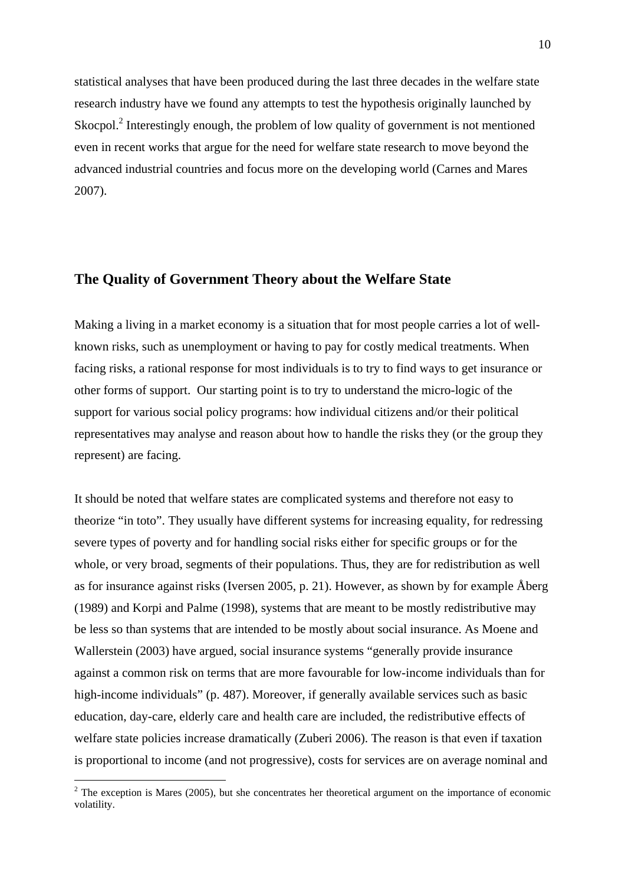statistical analyses that have been produced during the last three decades in the welfare state research industry have we found any attempts to test the hypothesis originally launched by Skocpol. $2$  Interestingly enough, the problem of low quality of government is not mentioned even in recent works that argue for the need for welfare state research to move beyond the advanced industrial countries and focus more on the developing world (Carnes and Mares 2007).

## **The Quality of Government Theory about the Welfare State**

Making a living in a market economy is a situation that for most people carries a lot of wellknown risks, such as unemployment or having to pay for costly medical treatments. When facing risks, a rational response for most individuals is to try to find ways to get insurance or other forms of support. Our starting point is to try to understand the micro-logic of the support for various social policy programs: how individual citizens and/or their political representatives may analyse and reason about how to handle the risks they (or the group they represent) are facing.

It should be noted that welfare states are complicated systems and therefore not easy to theorize "in toto". They usually have different systems for increasing equality, for redressing severe types of poverty and for handling social risks either for specific groups or for the whole, or very broad, segments of their populations. Thus, they are for redistribution as well as for insurance against risks (Iversen 2005, p. 21). However, as shown by for example Åberg (1989) and Korpi and Palme (1998), systems that are meant to be mostly redistributive may be less so than systems that are intended to be mostly about social insurance. As Moene and Wallerstein (2003) have argued, social insurance systems "generally provide insurance against a common risk on terms that are more favourable for low-income individuals than for high-income individuals" (p. 487). Moreover, if generally available services such as basic education, day-care, elderly care and health care are included, the redistributive effects of welfare state policies increase dramatically (Zuberi 2006). The reason is that even if taxation is proportional to income (and not progressive), costs for services are on average nominal and

 $2$  The exception is Mares (2005), but she concentrates her theoretical argument on the importance of economic volatility.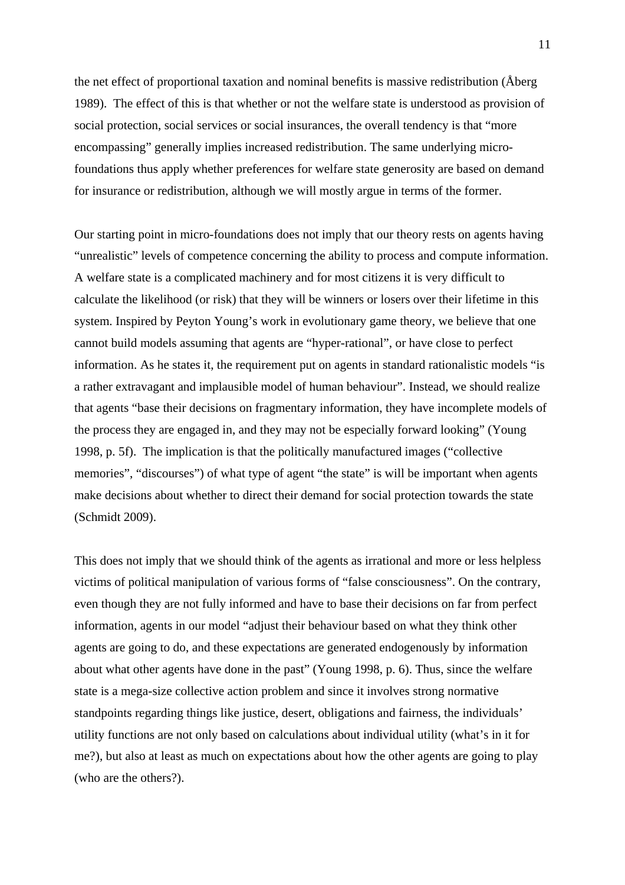the net effect of proportional taxation and nominal benefits is massive redistribution (Åberg 1989). The effect of this is that whether or not the welfare state is understood as provision of social protection, social services or social insurances, the overall tendency is that "more encompassing" generally implies increased redistribution. The same underlying microfoundations thus apply whether preferences for welfare state generosity are based on demand for insurance or redistribution, although we will mostly argue in terms of the former.

Our starting point in micro-foundations does not imply that our theory rests on agents having "unrealistic" levels of competence concerning the ability to process and compute information. A welfare state is a complicated machinery and for most citizens it is very difficult to calculate the likelihood (or risk) that they will be winners or losers over their lifetime in this system. Inspired by Peyton Young's work in evolutionary game theory, we believe that one cannot build models assuming that agents are "hyper-rational", or have close to perfect information. As he states it, the requirement put on agents in standard rationalistic models "is a rather extravagant and implausible model of human behaviour". Instead, we should realize that agents "base their decisions on fragmentary information, they have incomplete models of the process they are engaged in, and they may not be especially forward looking" (Young 1998, p. 5f). The implication is that the politically manufactured images ("collective memories", "discourses") of what type of agent "the state" is will be important when agents make decisions about whether to direct their demand for social protection towards the state (Schmidt 2009).

This does not imply that we should think of the agents as irrational and more or less helpless victims of political manipulation of various forms of "false consciousness". On the contrary, even though they are not fully informed and have to base their decisions on far from perfect information, agents in our model "adjust their behaviour based on what they think other agents are going to do, and these expectations are generated endogenously by information about what other agents have done in the past" (Young 1998, p. 6). Thus, since the welfare state is a mega-size collective action problem and since it involves strong normative standpoints regarding things like justice, desert, obligations and fairness, the individuals' utility functions are not only based on calculations about individual utility (what's in it for me?), but also at least as much on expectations about how the other agents are going to play (who are the others?).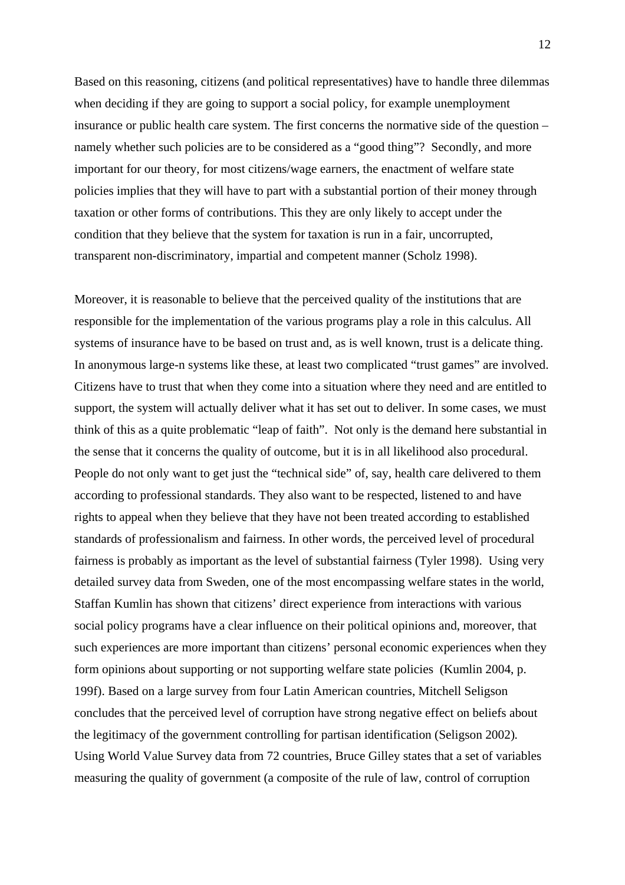Based on this reasoning, citizens (and political representatives) have to handle three dilemmas when deciding if they are going to support a social policy, for example unemployment insurance or public health care system. The first concerns the normative side of the question – namely whether such policies are to be considered as a "good thing"? Secondly, and more important for our theory, for most citizens/wage earners, the enactment of welfare state policies implies that they will have to part with a substantial portion of their money through taxation or other forms of contributions. This they are only likely to accept under the condition that they believe that the system for taxation is run in a fair, uncorrupted, transparent non-discriminatory, impartial and competent manner (Scholz 1998).

Moreover, it is reasonable to believe that the perceived quality of the institutions that are responsible for the implementation of the various programs play a role in this calculus. All systems of insurance have to be based on trust and, as is well known, trust is a delicate thing. In anonymous large-n systems like these, at least two complicated "trust games" are involved. Citizens have to trust that when they come into a situation where they need and are entitled to support, the system will actually deliver what it has set out to deliver. In some cases, we must think of this as a quite problematic "leap of faith". Not only is the demand here substantial in the sense that it concerns the quality of outcome, but it is in all likelihood also procedural. People do not only want to get just the "technical side" of, say, health care delivered to them according to professional standards. They also want to be respected, listened to and have rights to appeal when they believe that they have not been treated according to established standards of professionalism and fairness. In other words, the perceived level of procedural fairness is probably as important as the level of substantial fairness (Tyler 1998). Using very detailed survey data from Sweden, one of the most encompassing welfare states in the world, Staffan Kumlin has shown that citizens' direct experience from interactions with various social policy programs have a clear influence on their political opinions and, moreover, that such experiences are more important than citizens' personal economic experiences when they form opinions about supporting or not supporting welfare state policies (Kumlin 2004, p. 199f). Based on a large survey from four Latin American countries, Mitchell Seligson concludes that the perceived level of corruption have strong negative effect on beliefs about the legitimacy of the government controlling for partisan identification (Seligson 2002)*.* Using World Value Survey data from 72 countries, Bruce Gilley states that a set of variables measuring the quality of government (a composite of the rule of law, control of corruption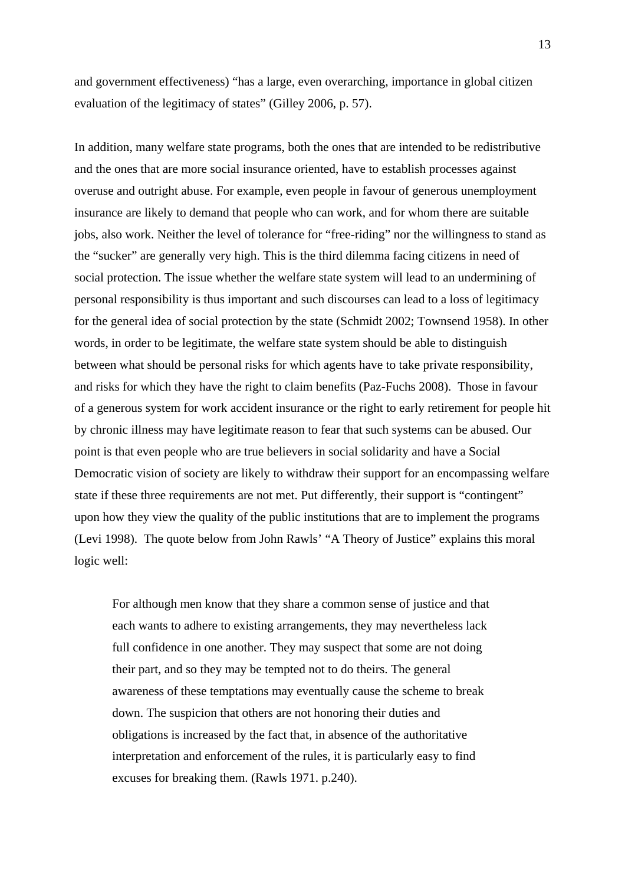and government effectiveness) "has a large, even overarching, importance in global citizen evaluation of the legitimacy of states" (Gilley 2006, p. 57).

In addition, many welfare state programs, both the ones that are intended to be redistributive and the ones that are more social insurance oriented, have to establish processes against overuse and outright abuse. For example, even people in favour of generous unemployment insurance are likely to demand that people who can work, and for whom there are suitable jobs, also work. Neither the level of tolerance for "free-riding" nor the willingness to stand as the "sucker" are generally very high. This is the third dilemma facing citizens in need of social protection. The issue whether the welfare state system will lead to an undermining of personal responsibility is thus important and such discourses can lead to a loss of legitimacy for the general idea of social protection by the state (Schmidt 2002; Townsend 1958). In other words, in order to be legitimate, the welfare state system should be able to distinguish between what should be personal risks for which agents have to take private responsibility, and risks for which they have the right to claim benefits (Paz-Fuchs 2008). Those in favour of a generous system for work accident insurance or the right to early retirement for people hit by chronic illness may have legitimate reason to fear that such systems can be abused. Our point is that even people who are true believers in social solidarity and have a Social Democratic vision of society are likely to withdraw their support for an encompassing welfare state if these three requirements are not met. Put differently, their support is "contingent" upon how they view the quality of the public institutions that are to implement the programs (Levi 1998). The quote below from John Rawls' "A Theory of Justice" explains this moral logic well:

For although men know that they share a common sense of justice and that each wants to adhere to existing arrangements, they may nevertheless lack full confidence in one another. They may suspect that some are not doing their part, and so they may be tempted not to do theirs. The general awareness of these temptations may eventually cause the scheme to break down. The suspicion that others are not honoring their duties and obligations is increased by the fact that, in absence of the authoritative interpretation and enforcement of the rules, it is particularly easy to find excuses for breaking them. (Rawls 1971. p.240).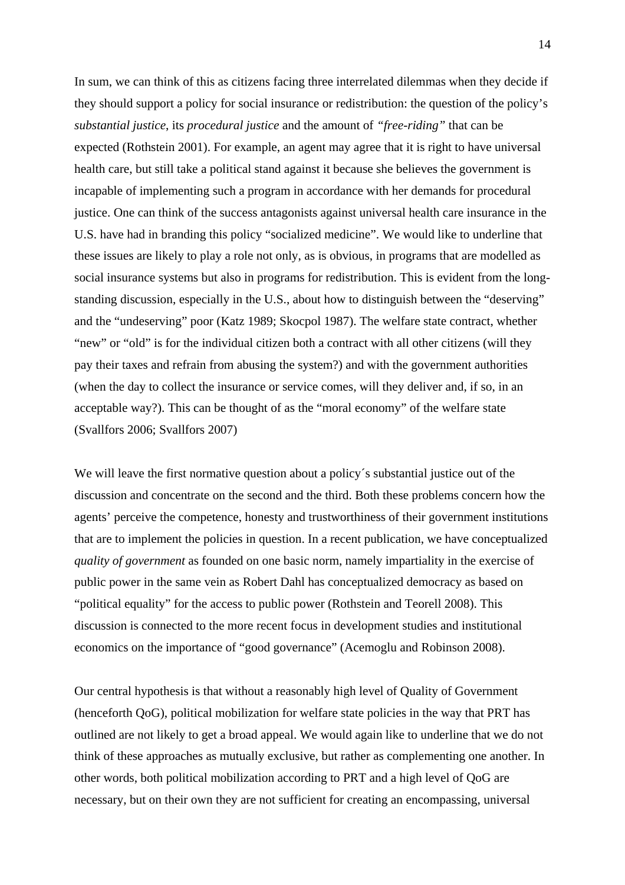In sum, we can think of this as citizens facing three interrelated dilemmas when they decide if they should support a policy for social insurance or redistribution: the question of the policy's *substantial justice*, its *procedural justice* and the amount of *"free-riding"* that can be expected (Rothstein 2001). For example, an agent may agree that it is right to have universal health care, but still take a political stand against it because she believes the government is incapable of implementing such a program in accordance with her demands for procedural justice. One can think of the success antagonists against universal health care insurance in the U.S. have had in branding this policy "socialized medicine". We would like to underline that these issues are likely to play a role not only, as is obvious, in programs that are modelled as social insurance systems but also in programs for redistribution. This is evident from the longstanding discussion, especially in the U.S., about how to distinguish between the "deserving" and the "undeserving" poor (Katz 1989; Skocpol 1987). The welfare state contract, whether "new" or "old" is for the individual citizen both a contract with all other citizens (will they pay their taxes and refrain from abusing the system?) and with the government authorities (when the day to collect the insurance or service comes, will they deliver and, if so, in an acceptable way?). This can be thought of as the "moral economy" of the welfare state (Svallfors 2006; Svallfors 2007)

We will leave the first normative question about a policy's substantial justice out of the discussion and concentrate on the second and the third. Both these problems concern how the agents' perceive the competence, honesty and trustworthiness of their government institutions that are to implement the policies in question. In a recent publication, we have conceptualized *quality of government* as founded on one basic norm, namely impartiality in the exercise of public power in the same vein as Robert Dahl has conceptualized democracy as based on "political equality" for the access to public power (Rothstein and Teorell 2008). This discussion is connected to the more recent focus in development studies and institutional economics on the importance of "good governance" (Acemoglu and Robinson 2008).

Our central hypothesis is that without a reasonably high level of Quality of Government (henceforth QoG), political mobilization for welfare state policies in the way that PRT has outlined are not likely to get a broad appeal. We would again like to underline that we do not think of these approaches as mutually exclusive, but rather as complementing one another. In other words, both political mobilization according to PRT and a high level of QoG are necessary, but on their own they are not sufficient for creating an encompassing, universal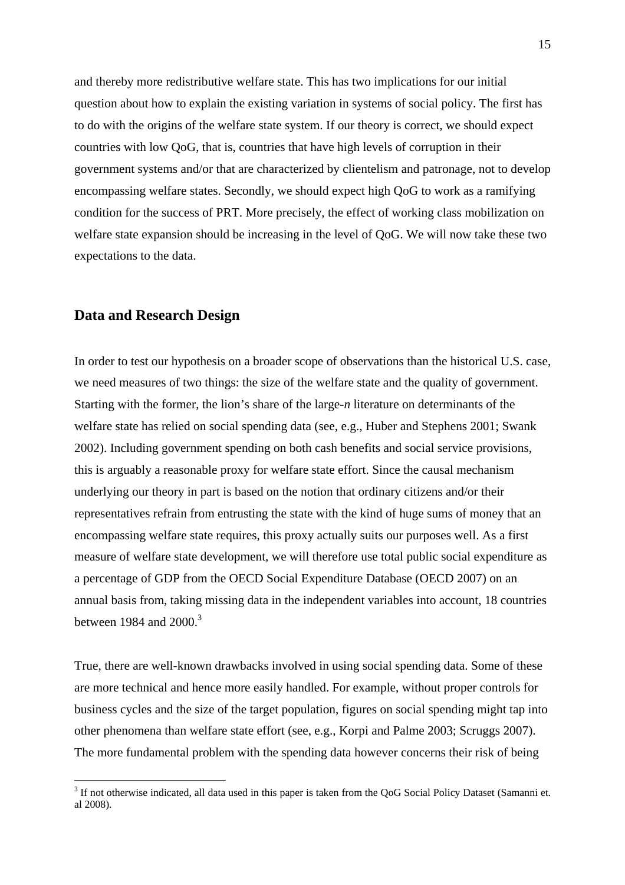and thereby more redistributive welfare state. This has two implications for our initial question about how to explain the existing variation in systems of social policy. The first has to do with the origins of the welfare state system. If our theory is correct, we should expect countries with low QoG, that is, countries that have high levels of corruption in their government systems and/or that are characterized by clientelism and patronage, not to develop encompassing welfare states. Secondly, we should expect high QoG to work as a ramifying condition for the success of PRT. More precisely, the effect of working class mobilization on welfare state expansion should be increasing in the level of QoG. We will now take these two expectations to the data.

## **Data and Research Design**

1

In order to test our hypothesis on a broader scope of observations than the historical U.S. case, we need measures of two things: the size of the welfare state and the quality of government. Starting with the former, the lion's share of the large-*n* literature on determinants of the welfare state has relied on social spending data (see, e.g., Huber and Stephens 2001; Swank 2002). Including government spending on both cash benefits and social service provisions, this is arguably a reasonable proxy for welfare state effort. Since the causal mechanism underlying our theory in part is based on the notion that ordinary citizens and/or their representatives refrain from entrusting the state with the kind of huge sums of money that an encompassing welfare state requires, this proxy actually suits our purposes well. As a first measure of welfare state development, we will therefore use total public social expenditure as a percentage of GDP from the OECD Social Expenditure Database (OECD 2007) on an annual basis from, taking missing data in the independent variables into account, 18 countries between 1984 and  $2000$ .<sup>3</sup>

True, there are well-known drawbacks involved in using social spending data. Some of these are more technical and hence more easily handled. For example, without proper controls for business cycles and the size of the target population, figures on social spending might tap into other phenomena than welfare state effort (see, e.g., Korpi and Palme 2003; Scruggs 2007). The more fundamental problem with the spending data however concerns their risk of being

 $3$  If not otherwise indicated, all data used in this paper is taken from the QoG Social Policy Dataset (Samanni et. al 2008).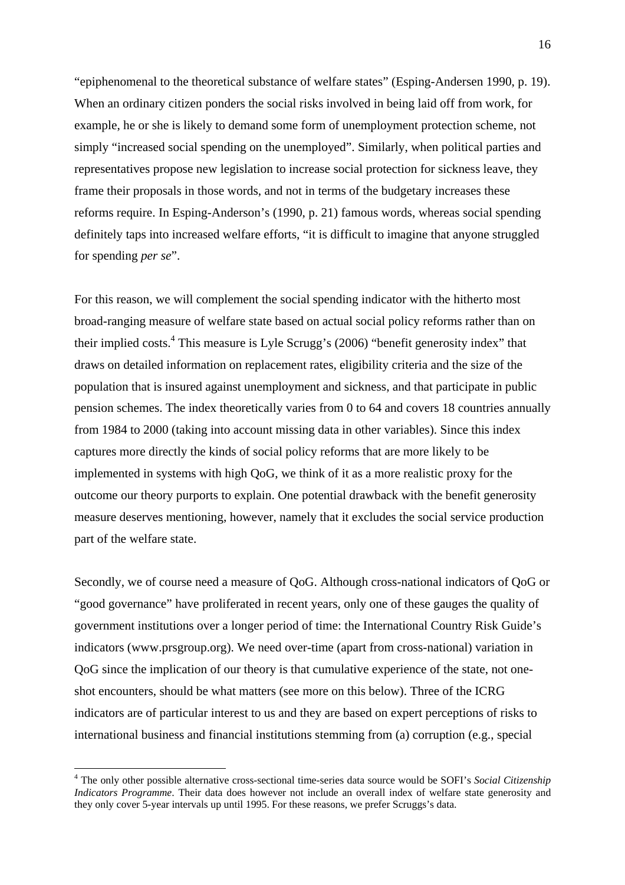"epiphenomenal to the theoretical substance of welfare states" (Esping-Andersen 1990, p. 19). When an ordinary citizen ponders the social risks involved in being laid off from work, for example, he or she is likely to demand some form of unemployment protection scheme, not simply "increased social spending on the unemployed". Similarly, when political parties and representatives propose new legislation to increase social protection for sickness leave, they frame their proposals in those words, and not in terms of the budgetary increases these reforms require. In Esping-Anderson's (1990, p. 21) famous words, whereas social spending definitely taps into increased welfare efforts, "it is difficult to imagine that anyone struggled for spending *per se*".

For this reason, we will complement the social spending indicator with the hitherto most broad-ranging measure of welfare state based on actual social policy reforms rather than on their implied costs.<sup>4</sup> This measure is Lyle Scrugg's (2006) "benefit generosity index" that draws on detailed information on replacement rates, eligibility criteria and the size of the population that is insured against unemployment and sickness, and that participate in public pension schemes. The index theoretically varies from 0 to 64 and covers 18 countries annually from 1984 to 2000 (taking into account missing data in other variables). Since this index captures more directly the kinds of social policy reforms that are more likely to be implemented in systems with high QoG, we think of it as a more realistic proxy for the outcome our theory purports to explain. One potential drawback with the benefit generosity measure deserves mentioning, however, namely that it excludes the social service production part of the welfare state.

Secondly, we of course need a measure of QoG. Although cross-national indicators of QoG or "good governance" have proliferated in recent years, only one of these gauges the quality of government institutions over a longer period of time: the International Country Risk Guide's indicators (www.prsgroup.org). We need over-time (apart from cross-national) variation in QoG since the implication of our theory is that cumulative experience of the state, not oneshot encounters, should be what matters (see more on this below). Three of the ICRG indicators are of particular interest to us and they are based on expert perceptions of risks to international business and financial institutions stemming from (a) corruption (e.g., special

<sup>4</sup> The only other possible alternative cross-sectional time-series data source would be SOFI's *Social Citizenship Indicators Programme*. Their data does however not include an overall index of welfare state generosity and they only cover 5-year intervals up until 1995. For these reasons, we prefer Scruggs's data.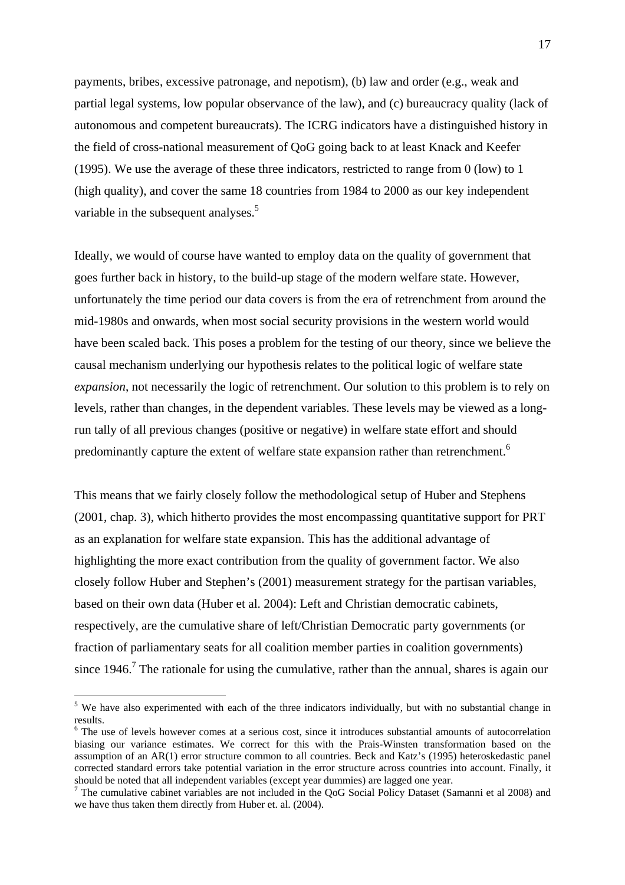payments, bribes, excessive patronage, and nepotism), (b) law and order (e.g., weak and partial legal systems, low popular observance of the law), and (c) bureaucracy quality (lack of autonomous and competent bureaucrats). The ICRG indicators have a distinguished history in the field of cross-national measurement of QoG going back to at least Knack and Keefer (1995). We use the average of these three indicators, restricted to range from 0 (low) to 1 (high quality), and cover the same 18 countries from 1984 to 2000 as our key independent variable in the subsequent analyses.<sup>5</sup>

Ideally, we would of course have wanted to employ data on the quality of government that goes further back in history, to the build-up stage of the modern welfare state. However, unfortunately the time period our data covers is from the era of retrenchment from around the mid-1980s and onwards, when most social security provisions in the western world would have been scaled back. This poses a problem for the testing of our theory, since we believe the causal mechanism underlying our hypothesis relates to the political logic of welfare state *expansion*, not necessarily the logic of retrenchment. Our solution to this problem is to rely on levels, rather than changes, in the dependent variables. These levels may be viewed as a longrun tally of all previous changes (positive or negative) in welfare state effort and should predominantly capture the extent of welfare state expansion rather than retrenchment.<sup>6</sup>

This means that we fairly closely follow the methodological setup of Huber and Stephens (2001, chap. 3), which hitherto provides the most encompassing quantitative support for PRT as an explanation for welfare state expansion. This has the additional advantage of highlighting the more exact contribution from the quality of government factor. We also closely follow Huber and Stephen's (2001) measurement strategy for the partisan variables, based on their own data (Huber et al. 2004): Left and Christian democratic cabinets, respectively, are the cumulative share of left/Christian Democratic party governments (or fraction of parliamentary seats for all coalition member parties in coalition governments) since  $1946$ .<sup>7</sup> The rationale for using the cumulative, rather than the annual, shares is again our

<sup>&</sup>lt;sup>5</sup> We have also experimented with each of the three indicators individually, but with no substantial change in results.

<sup>&</sup>lt;sup>6</sup> The use of levels however comes at a serious cost, since it introduces substantial amounts of autocorrelation biasing our variance estimates. We correct for this with the Prais-Winsten transformation based on the assumption of an AR(1) error structure common to all countries. Beck and Katz's (1995) heteroskedastic panel corrected standard errors take potential variation in the error structure across countries into account. Finally, it should be noted that all independent variables (except year dummies) are lagged one year.

<sup>&</sup>lt;sup>7</sup> The cumulative cabinet variables are not included in the QoG Social Policy Dataset (Samanni et al 2008) and we have thus taken them directly from Huber et. al. (2004).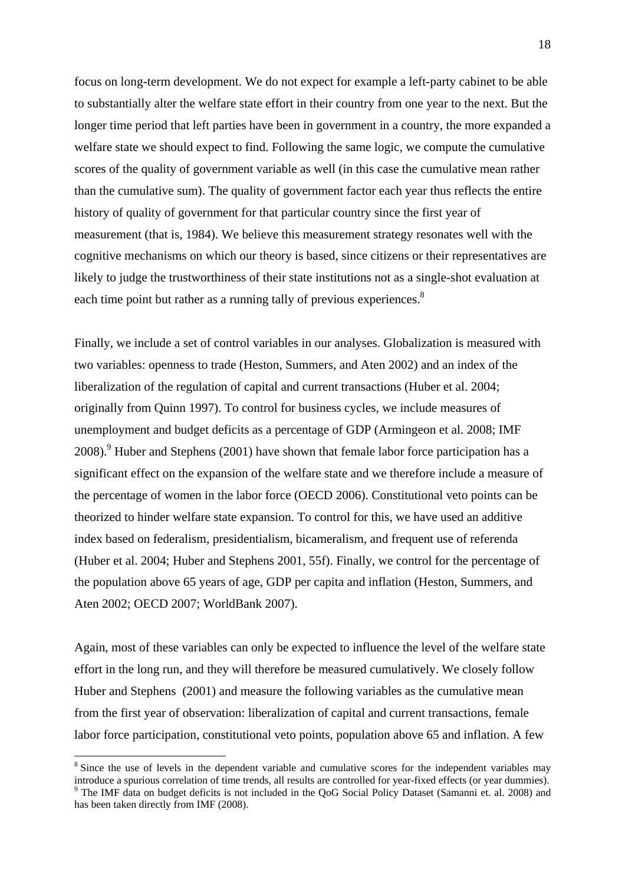focus on long-term development. We do not expect for example a left-party cabinet to be able to substantially alter the welfare state effort in their country from one year to the next. But the longer time period that left parties have been in government in a country, the more expanded a welfare state we should expect to find. Following the same logic, we compute the cumulative scores of the quality of government variable as well (in this case the cumulative mean rather than the cumulative sum). The quality of government factor each year thus reflects the entire history of quality of government for that particular country since the first year of measurement (that is, 1984). We believe this measurement strategy resonates well with the cognitive mechanisms on which our theory is based, since citizens or their representatives are likely to judge the trustworthiness of their state institutions not as a single-shot evaluation at each time point but rather as a running tally of previous experiences.<sup>8</sup>

Finally, we include a set of control variables in our analyses. Globalization is measured with two variables: openness to trade (Heston, Summers, and Aten 2002) and an index of the liberalization of the regulation of capital and current transactions (Huber et al. 2004; originally from Quinn 1997). To control for business cycles, we include measures of unemployment and budget deficits as a percentage of GDP (Armingeon et al. 2008; IMF  $2008$ ). Huber and Stephens (2001) have shown that female labor force participation has a significant effect on the expansion of the welfare state and we therefore include a measure of the percentage of women in the labor force (OECD 2006). Constitutional veto points can be theorized to hinder welfare state expansion. To control for this, we have used an additive index based on federalism, presidentialism, bicameralism, and frequent use of referenda (Huber et al. 2004; Huber and Stephens 2001, 55f). Finally, we control for the percentage of the population above 65 years of age, GDP per capita and inflation (Heston, Summers, and Aten 2002; OECD 2007; WorldBank 2007).

Again, most of these variables can only be expected to influence the level of the welfare state effort in the long run, and they will therefore be measured cumulatively. We closely follow Huber and Stephens (2001) and measure the following variables as the cumulative mean from the first year of observation: liberalization of capital and current transactions, female labor force participation, constitutional veto points, population above 65 and inflation. A few

<sup>&</sup>lt;sup>8</sup> Since the use of levels in the dependent variable and cumulative scores for the independent variables may introduce a spurious correlation of time trends, all results are controlled for year-fixed effects (or year dummies). 9  $9$  The IMF data on budget deficits is not included in the QoG Social Policy Dataset (Samanni et. al. 2008) and

has been taken directly from IMF (2008).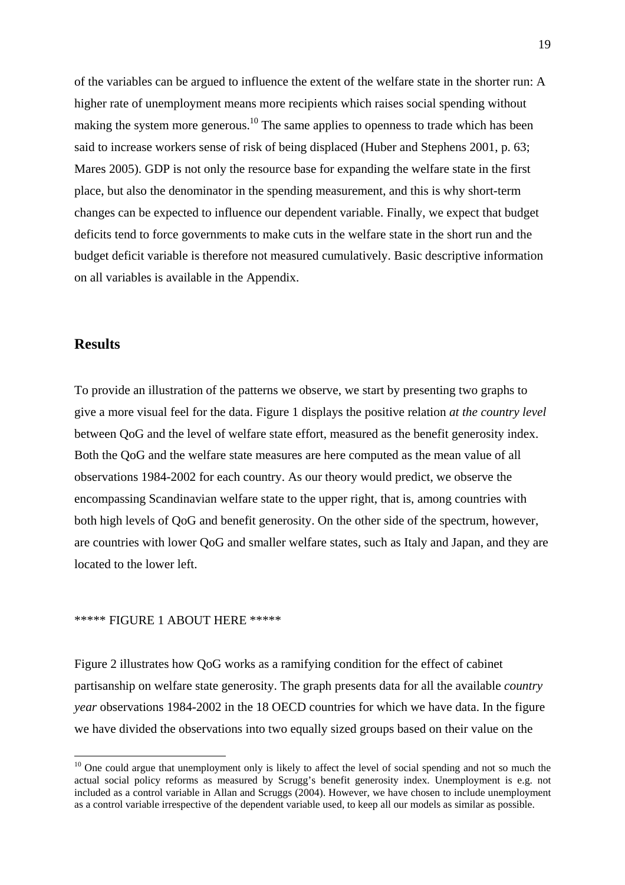of the variables can be argued to influence the extent of the welfare state in the shorter run: A higher rate of unemployment means more recipients which raises social spending without making the system more generous.<sup>10</sup> The same applies to openness to trade which has been said to increase workers sense of risk of being displaced (Huber and Stephens 2001, p. 63; Mares 2005). GDP is not only the resource base for expanding the welfare state in the first place, but also the denominator in the spending measurement, and this is why short-term changes can be expected to influence our dependent variable. Finally, we expect that budget deficits tend to force governments to make cuts in the welfare state in the short run and the budget deficit variable is therefore not measured cumulatively. Basic descriptive information on all variables is available in the Appendix.

## **Results**

1

To provide an illustration of the patterns we observe, we start by presenting two graphs to give a more visual feel for the data. Figure 1 displays the positive relation *at the country level* between QoG and the level of welfare state effort, measured as the benefit generosity index. Both the QoG and the welfare state measures are here computed as the mean value of all observations 1984-2002 for each country. As our theory would predict, we observe the encompassing Scandinavian welfare state to the upper right, that is, among countries with both high levels of QoG and benefit generosity. On the other side of the spectrum, however, are countries with lower QoG and smaller welfare states, such as Italy and Japan, and they are located to the lower left.

### \*\*\*\*\* FIGURE 1 ABOUT HERE \*\*\*\*\*

Figure 2 illustrates how QoG works as a ramifying condition for the effect of cabinet partisanship on welfare state generosity. The graph presents data for all the available *country year* observations 1984-2002 in the 18 OECD countries for which we have data. In the figure we have divided the observations into two equally sized groups based on their value on the

 $10$  One could argue that unemployment only is likely to affect the level of social spending and not so much the actual social policy reforms as measured by Scrugg's benefit generosity index. Unemployment is e.g. not included as a control variable in Allan and Scruggs (2004). However, we have chosen to include unemployment as a control variable irrespective of the dependent variable used, to keep all our models as similar as possible.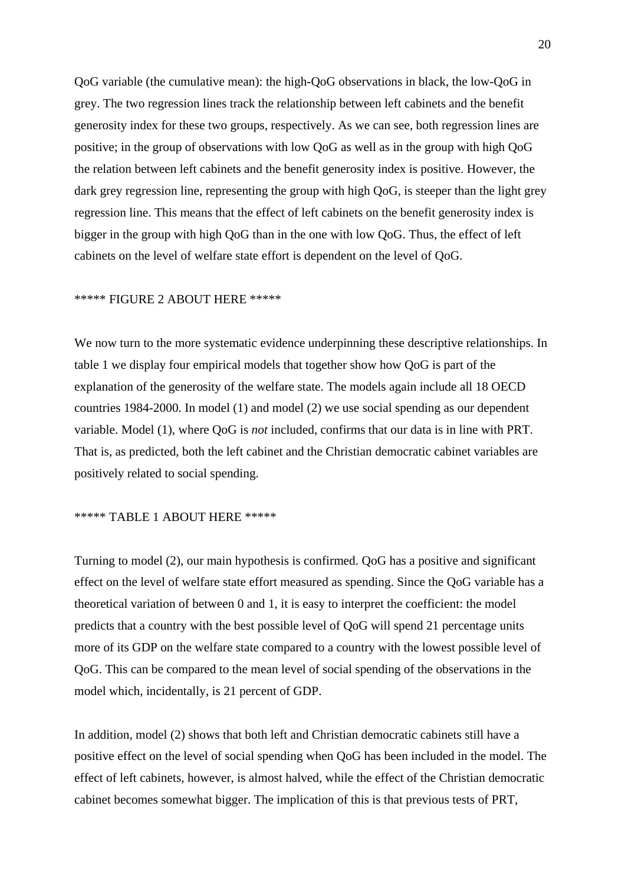QoG variable (the cumulative mean): the high-QoG observations in black, the low-QoG in grey. The two regression lines track the relationship between left cabinets and the benefit generosity index for these two groups, respectively. As we can see, both regression lines are positive; in the group of observations with low QoG as well as in the group with high QoG the relation between left cabinets and the benefit generosity index is positive. However, the dark grey regression line, representing the group with high OoG, is steeper than the light grey regression line. This means that the effect of left cabinets on the benefit generosity index is bigger in the group with high QoG than in the one with low QoG. Thus, the effect of left cabinets on the level of welfare state effort is dependent on the level of QoG.

#### \*\*\*\*\* FIGURE 2 ABOUT HERE \*\*\*\*\*

We now turn to the more systematic evidence underpinning these descriptive relationships. In table 1 we display four empirical models that together show how QoG is part of the explanation of the generosity of the welfare state. The models again include all 18 OECD countries 1984-2000. In model (1) and model (2) we use social spending as our dependent variable. Model (1), where QoG is *not* included, confirms that our data is in line with PRT. That is, as predicted, both the left cabinet and the Christian democratic cabinet variables are positively related to social spending.

## \*\*\*\*\* TABLE 1 ABOUT HERE \*\*\*\*\*

Turning to model (2), our main hypothesis is confirmed. QoG has a positive and significant effect on the level of welfare state effort measured as spending. Since the QoG variable has a theoretical variation of between 0 and 1, it is easy to interpret the coefficient: the model predicts that a country with the best possible level of QoG will spend 21 percentage units more of its GDP on the welfare state compared to a country with the lowest possible level of QoG. This can be compared to the mean level of social spending of the observations in the model which, incidentally, is 21 percent of GDP.

In addition, model (2) shows that both left and Christian democratic cabinets still have a positive effect on the level of social spending when QoG has been included in the model. The effect of left cabinets, however, is almost halved, while the effect of the Christian democratic cabinet becomes somewhat bigger. The implication of this is that previous tests of PRT,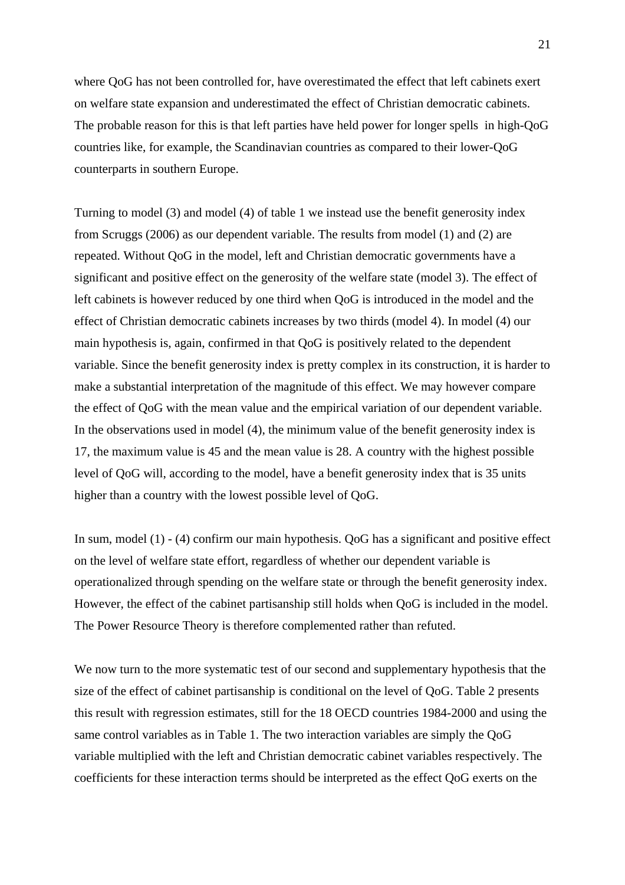where QoG has not been controlled for, have overestimated the effect that left cabinets exert on welfare state expansion and underestimated the effect of Christian democratic cabinets. The probable reason for this is that left parties have held power for longer spells in high-QoG countries like, for example, the Scandinavian countries as compared to their lower-QoG counterparts in southern Europe.

Turning to model (3) and model (4) of table 1 we instead use the benefit generosity index from Scruggs (2006) as our dependent variable. The results from model (1) and (2) are repeated. Without QoG in the model, left and Christian democratic governments have a significant and positive effect on the generosity of the welfare state (model 3). The effect of left cabinets is however reduced by one third when QoG is introduced in the model and the effect of Christian democratic cabinets increases by two thirds (model 4). In model (4) our main hypothesis is, again, confirmed in that QoG is positively related to the dependent variable. Since the benefit generosity index is pretty complex in its construction, it is harder to make a substantial interpretation of the magnitude of this effect. We may however compare the effect of QoG with the mean value and the empirical variation of our dependent variable. In the observations used in model (4), the minimum value of the benefit generosity index is 17, the maximum value is 45 and the mean value is 28. A country with the highest possible level of QoG will, according to the model, have a benefit generosity index that is 35 units higher than a country with the lowest possible level of QoG.

In sum, model (1) - (4) confirm our main hypothesis. QoG has a significant and positive effect on the level of welfare state effort, regardless of whether our dependent variable is operationalized through spending on the welfare state or through the benefit generosity index. However, the effect of the cabinet partisanship still holds when QoG is included in the model. The Power Resource Theory is therefore complemented rather than refuted.

We now turn to the more systematic test of our second and supplementary hypothesis that the size of the effect of cabinet partisanship is conditional on the level of QoG. Table 2 presents this result with regression estimates, still for the 18 OECD countries 1984-2000 and using the same control variables as in Table 1. The two interaction variables are simply the QoG variable multiplied with the left and Christian democratic cabinet variables respectively. The coefficients for these interaction terms should be interpreted as the effect QoG exerts on the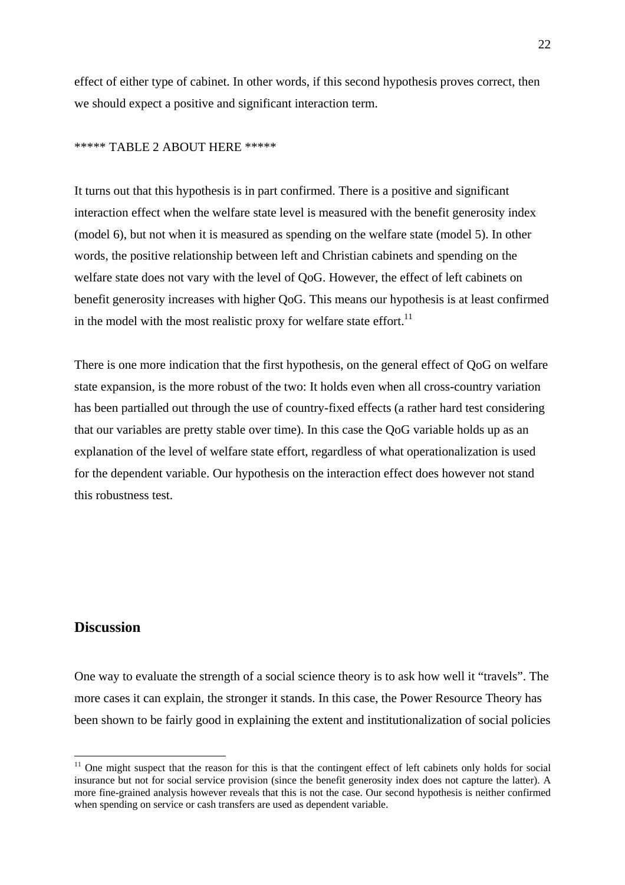effect of either type of cabinet. In other words, if this second hypothesis proves correct, then we should expect a positive and significant interaction term.

## \*\*\*\*\* TABLE 2 ABOUT HERE \*\*\*\*\*

It turns out that this hypothesis is in part confirmed. There is a positive and significant interaction effect when the welfare state level is measured with the benefit generosity index (model 6), but not when it is measured as spending on the welfare state (model 5). In other words, the positive relationship between left and Christian cabinets and spending on the welfare state does not vary with the level of QoG. However, the effect of left cabinets on benefit generosity increases with higher QoG. This means our hypothesis is at least confirmed in the model with the most realistic proxy for welfare state effort. $11$ 

There is one more indication that the first hypothesis, on the general effect of QoG on welfare state expansion, is the more robust of the two: It holds even when all cross-country variation has been partialled out through the use of country-fixed effects (a rather hard test considering that our variables are pretty stable over time). In this case the QoG variable holds up as an explanation of the level of welfare state effort, regardless of what operationalization is used for the dependent variable. Our hypothesis on the interaction effect does however not stand this robustness test.

## **Discussion**

1

One way to evaluate the strength of a social science theory is to ask how well it "travels". The more cases it can explain, the stronger it stands. In this case, the Power Resource Theory has been shown to be fairly good in explaining the extent and institutionalization of social policies

 $11$  One might suspect that the reason for this is that the contingent effect of left cabinets only holds for social insurance but not for social service provision (since the benefit generosity index does not capture the latter). A more fine-grained analysis however reveals that this is not the case. Our second hypothesis is neither confirmed when spending on service or cash transfers are used as dependent variable.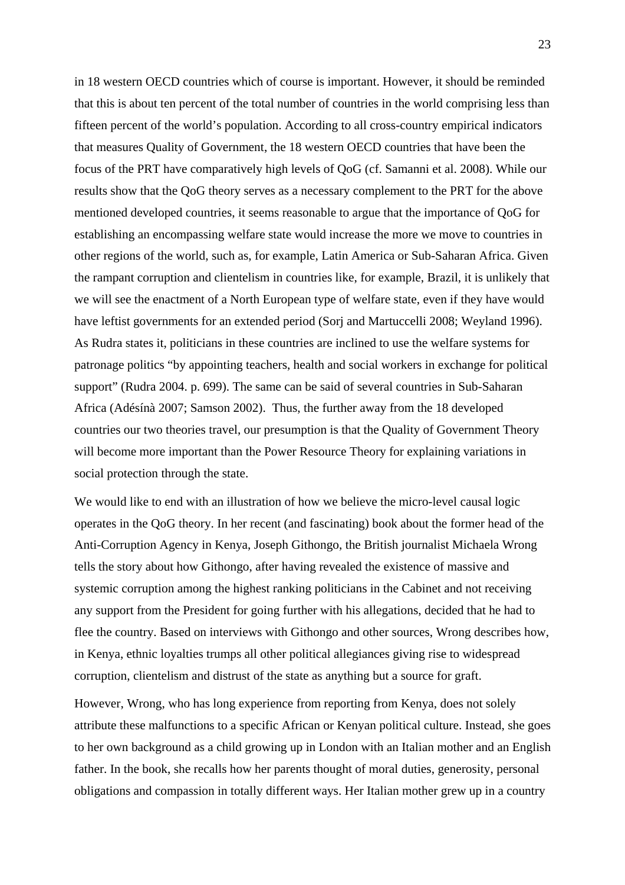in 18 western OECD countries which of course is important. However, it should be reminded that this is about ten percent of the total number of countries in the world comprising less than fifteen percent of the world's population. According to all cross-country empirical indicators that measures Quality of Government, the 18 western OECD countries that have been the focus of the PRT have comparatively high levels of QoG (cf. Samanni et al. 2008). While our results show that the QoG theory serves as a necessary complement to the PRT for the above mentioned developed countries, it seems reasonable to argue that the importance of QoG for establishing an encompassing welfare state would increase the more we move to countries in other regions of the world, such as, for example, Latin America or Sub-Saharan Africa. Given the rampant corruption and clientelism in countries like, for example, Brazil, it is unlikely that we will see the enactment of a North European type of welfare state, even if they have would have leftist governments for an extended period (Sorj and Martuccelli 2008; Weyland 1996). As Rudra states it, politicians in these countries are inclined to use the welfare systems for patronage politics "by appointing teachers, health and social workers in exchange for political support" (Rudra 2004. p. 699). The same can be said of several countries in Sub-Saharan Africa (Adésínà 2007; Samson 2002). Thus, the further away from the 18 developed countries our two theories travel, our presumption is that the Quality of Government Theory will become more important than the Power Resource Theory for explaining variations in social protection through the state.

We would like to end with an illustration of how we believe the micro-level causal logic operates in the QoG theory. In her recent (and fascinating) book about the former head of the Anti-Corruption Agency in Kenya, Joseph Githongo, the British journalist Michaela Wrong tells the story about how Githongo, after having revealed the existence of massive and systemic corruption among the highest ranking politicians in the Cabinet and not receiving any support from the President for going further with his allegations, decided that he had to flee the country. Based on interviews with Githongo and other sources, Wrong describes how, in Kenya, ethnic loyalties trumps all other political allegiances giving rise to widespread corruption, clientelism and distrust of the state as anything but a source for graft.

However, Wrong, who has long experience from reporting from Kenya, does not solely attribute these malfunctions to a specific African or Kenyan political culture. Instead, she goes to her own background as a child growing up in London with an Italian mother and an English father. In the book, she recalls how her parents thought of moral duties, generosity, personal obligations and compassion in totally different ways. Her Italian mother grew up in a country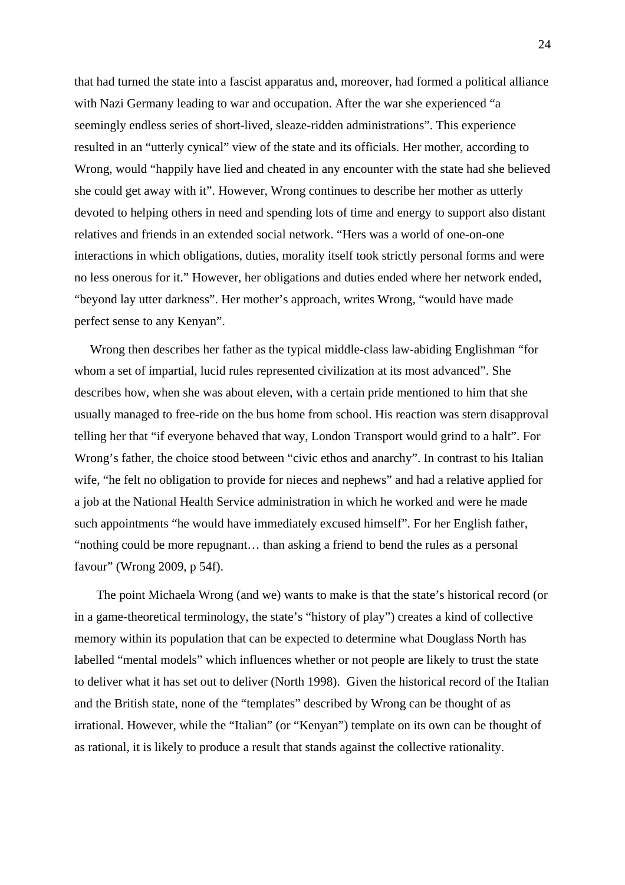that had turned the state into a fascist apparatus and, moreover, had formed a political alliance with Nazi Germany leading to war and occupation. After the war she experienced "a seemingly endless series of short-lived, sleaze-ridden administrations". This experience resulted in an "utterly cynical" view of the state and its officials. Her mother, according to Wrong, would "happily have lied and cheated in any encounter with the state had she believed she could get away with it". However, Wrong continues to describe her mother as utterly devoted to helping others in need and spending lots of time and energy to support also distant relatives and friends in an extended social network. "Hers was a world of one-on-one interactions in which obligations, duties, morality itself took strictly personal forms and were no less onerous for it." However, her obligations and duties ended where her network ended, "beyond lay utter darkness". Her mother's approach, writes Wrong, "would have made perfect sense to any Kenyan".

 Wrong then describes her father as the typical middle-class law-abiding Englishman "for whom a set of impartial, lucid rules represented civilization at its most advanced". She describes how, when she was about eleven, with a certain pride mentioned to him that she usually managed to free-ride on the bus home from school. His reaction was stern disapproval telling her that "if everyone behaved that way, London Transport would grind to a halt". For Wrong's father, the choice stood between "civic ethos and anarchy". In contrast to his Italian wife, "he felt no obligation to provide for nieces and nephews" and had a relative applied for a job at the National Health Service administration in which he worked and were he made such appointments "he would have immediately excused himself". For her English father, "nothing could be more repugnant… than asking a friend to bend the rules as a personal favour" (Wrong 2009, p 54f).

 The point Michaela Wrong (and we) wants to make is that the state's historical record (or in a game-theoretical terminology, the state's "history of play") creates a kind of collective memory within its population that can be expected to determine what Douglass North has labelled "mental models" which influences whether or not people are likely to trust the state to deliver what it has set out to deliver (North 1998). Given the historical record of the Italian and the British state, none of the "templates" described by Wrong can be thought of as irrational. However, while the "Italian" (or "Kenyan") template on its own can be thought of as rational, it is likely to produce a result that stands against the collective rationality.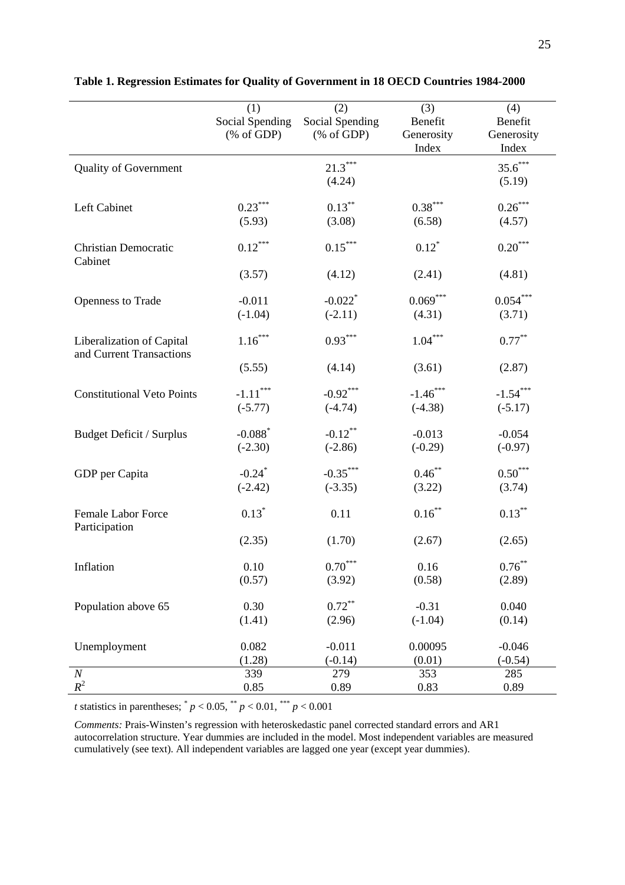|                                   | (1)                                             | (2)                                                   | (3)                   | (4)                   |
|-----------------------------------|-------------------------------------------------|-------------------------------------------------------|-----------------------|-----------------------|
|                                   | Social Spending                                 | Social Spending                                       | Benefit               | Benefit               |
|                                   | $(% \mathcal{L}_{0}^{\infty}$ (% of GDP)        | $(% \mathcal{L}_{0} \cap \mathcal{L}_{1})$ (% of GDP) | Generosity            | Generosity            |
|                                   |                                                 |                                                       | Index                 | Index                 |
|                                   |                                                 |                                                       |                       |                       |
| <b>Quality of Government</b>      |                                                 | $21.3***$                                             |                       | $35.6***$             |
|                                   |                                                 | (4.24)                                                |                       | (5.19)                |
| Left Cabinet                      | $0.23***$                                       | $0.13***$                                             | $0.38^{\ast\ast\ast}$ | $0.26^{\ast\ast\ast}$ |
|                                   | (5.93)                                          | (3.08)                                                | (6.58)                | (4.57)                |
|                                   |                                                 |                                                       |                       |                       |
| <b>Christian Democratic</b>       | $0.12***$                                       | $0.15***$                                             | $0.12$ <sup>*</sup>   | $0.20^{\ast\ast\ast}$ |
| Cabinet                           |                                                 |                                                       |                       |                       |
|                                   | (3.57)                                          | (4.12)                                                | (2.41)                | (4.81)                |
|                                   |                                                 |                                                       |                       |                       |
| <b>Openness to Trade</b>          | $-0.011$                                        | $-0.022$ <sup>*</sup>                                 | $0.069***$            | $0.054^{***}$         |
|                                   | $(-1.04)$                                       | $(-2.11)$                                             | (4.31)                | (3.71)                |
|                                   |                                                 |                                                       |                       |                       |
| Liberalization of Capital         | $1.16***$                                       | $0.93***$                                             | $1.04***$             | $0.77***$             |
| and Current Transactions          |                                                 |                                                       |                       |                       |
|                                   | (5.55)                                          | (4.14)                                                | (3.61)                | (2.87)                |
|                                   |                                                 |                                                       |                       |                       |
| <b>Constitutional Veto Points</b> | $\text{-}1.11$ $\hspace{-1.5mm}^{\ast\ast\ast}$ | $-0.92***$                                            | $-1.46***$            | $-1.54***$            |
|                                   | $(-5.77)$                                       | $(-4.74)$                                             | $(-4.38)$             | $(-5.17)$             |
|                                   |                                                 |                                                       |                       |                       |
| Budget Deficit / Surplus          | $-0.088$ <sup>*</sup>                           | $-0.12$ **                                            | $-0.013$              | $-0.054$              |
|                                   | $(-2.30)$                                       | $(-2.86)$                                             | $(-0.29)$             | $(-0.97)$             |
| GDP per Capita                    | $-0.24$ <sup>*</sup>                            | $-0.35***$                                            | $0.46***$             | $0.50***$             |
|                                   | $(-2.42)$                                       | $(-3.35)$                                             | (3.22)                | (3.74)                |
|                                   |                                                 |                                                       |                       |                       |
| <b>Female Labor Force</b>         | $0.13*$                                         | 0.11                                                  | $0.16^{**}$           | $0.13***$             |
| Participation                     |                                                 |                                                       |                       |                       |
|                                   | (2.35)                                          | (1.70)                                                | (2.67)                | (2.65)                |
|                                   |                                                 |                                                       |                       |                       |
| Inflation                         | 0.10                                            | $0.70***$                                             | 0.16                  | $0.76***$             |
|                                   | (0.57)                                          | (3.92)                                                | (0.58)                | (2.89)                |
|                                   |                                                 |                                                       |                       |                       |
| Population above 65               | 0.30                                            | $0.72***$                                             | $-0.31$               | 0.040                 |
|                                   | (1.41)                                          | (2.96)                                                | $(-1.04)$             | (0.14)                |
|                                   |                                                 |                                                       |                       |                       |
| Unemployment                      | 0.082                                           | $-0.011$                                              | 0.00095               | $-0.046$              |
|                                   | (1.28)                                          | $(-0.14)$                                             | (0.01)                | $(-0.54)$             |
| $\boldsymbol{N}$                  | 339                                             | 279                                                   | 353                   | 285                   |
| $R^2$                             | 0.85                                            | 0.89                                                  | 0.83                  | 0.89                  |

**Table 1. Regression Estimates for Quality of Government in 18 OECD Countries 1984-2000**

*t* statistics in parentheses;  $^{*} p < 0.05$ ,  $^{*} p < 0.01$ ,  $^{*} p < 0.001$ 

*Comments:* Prais-Winsten's regression with heteroskedastic panel corrected standard errors and AR1 autocorrelation structure. Year dummies are included in the model. Most independent variables are measured cumulatively (see text). All independent variables are lagged one year (except year dummies).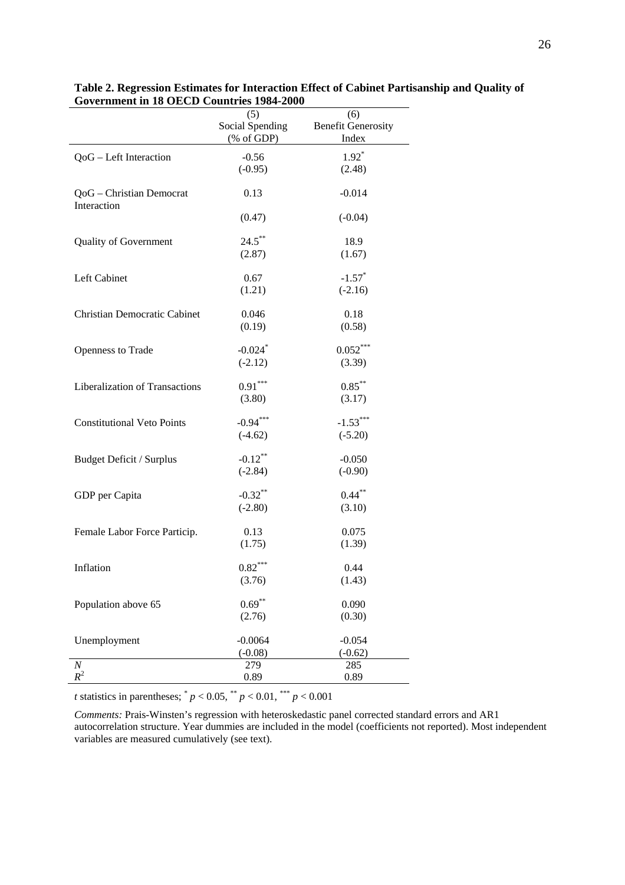|                                   | (5)<br>(6)      |                           |  |
|-----------------------------------|-----------------|---------------------------|--|
|                                   | Social Spending | <b>Benefit Generosity</b> |  |
|                                   | (% of GDP)      | Index                     |  |
| QoG - Left Interaction            | $-0.56$         | $1.92*$                   |  |
|                                   | $(-0.95)$       | (2.48)                    |  |
|                                   |                 |                           |  |
| QoG - Christian Democrat          | 0.13            | $-0.014$                  |  |
| Interaction                       |                 |                           |  |
|                                   | (0.47)          | $(-0.04)$                 |  |
|                                   |                 |                           |  |
| Quality of Government             | $24.5***$       | 18.9                      |  |
|                                   | (2.87)          | (1.67)                    |  |
|                                   |                 |                           |  |
| Left Cabinet                      | 0.67            | $-1.57$ <sup>*</sup>      |  |
|                                   | (1.21)          | $(-2.16)$                 |  |
|                                   |                 |                           |  |
| Christian Democratic Cabinet      | 0.046           | 0.18                      |  |
|                                   | (0.19)          | (0.58)                    |  |
|                                   |                 |                           |  |
| Openness to Trade                 | $-0.024$ *      | $0.052***$                |  |
|                                   | $(-2.12)$       | (3.39)                    |  |
| Liberalization of Transactions    | $0.91***$       | $0.85***$                 |  |
|                                   | (3.80)          | (3.17)                    |  |
|                                   |                 |                           |  |
| <b>Constitutional Veto Points</b> | $-0.94***$      | $-1.53***$                |  |
|                                   | $(-4.62)$       | $(-5.20)$                 |  |
|                                   |                 |                           |  |
| Budget Deficit / Surplus          | $-0.12***$      | $-0.050$                  |  |
|                                   | $(-2.84)$       | $(-0.90)$                 |  |
|                                   |                 |                           |  |
| GDP per Capita                    | $-0.32$ **      | $0.44***$                 |  |
|                                   | $(-2.80)$       | (3.10)                    |  |
|                                   |                 |                           |  |
| Female Labor Force Particip.      | 0.13            | 0.075                     |  |
|                                   | (1.75)          | (1.39)                    |  |
|                                   |                 |                           |  |
| Inflation                         | $0.82***$       | 0.44                      |  |
|                                   | (3.76)          | (1.43)                    |  |
| Population above 65               | $0.69***$       | 0.090                     |  |
|                                   | (2.76)          | (0.30)                    |  |
|                                   |                 |                           |  |
| Unemployment                      | $-0.0064$       | $-0.054$                  |  |
|                                   | $(-0.08)$       | $(-0.62)$                 |  |
| $\boldsymbol{N}$                  | 279             | 285                       |  |
| $R^2$                             | 0.89            | 0.89                      |  |
|                                   |                 |                           |  |

**Table 2. Regression Estimates for Interaction Effect of Cabinet Partisanship and Quality of Government in 18 OECD Countries 1984-2000**

*t* statistics in parentheses;  $^{*} p < 0.05$ ,  $^{**} p < 0.01$ ,  $^{***} p < 0.001$ 

*Comments:* Prais-Winsten's regression with heteroskedastic panel corrected standard errors and AR1 autocorrelation structure. Year dummies are included in the model (coefficients not reported). Most independent variables are measured cumulatively (see text).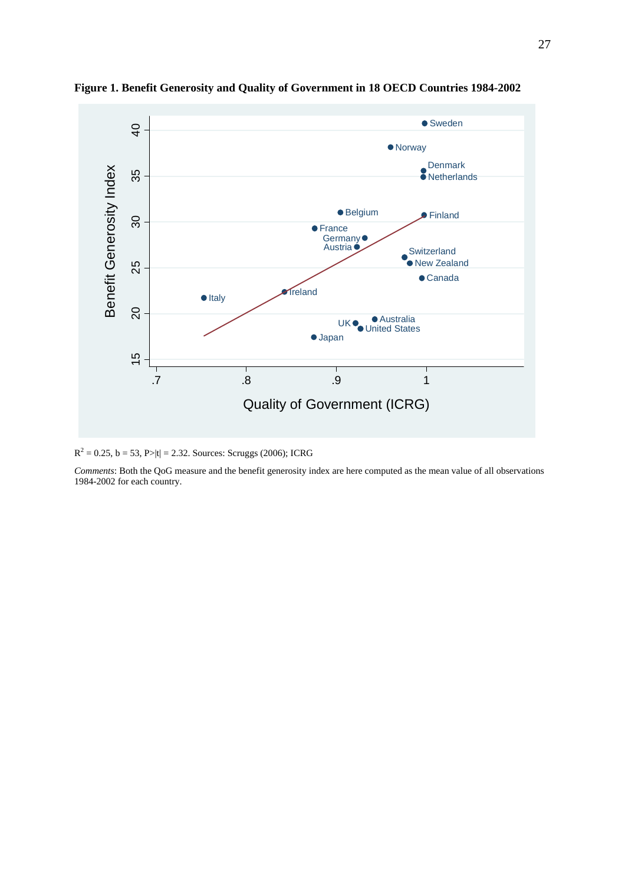

**Figure 1. Benefit Generosity and Quality of Government in 18 OECD Countries 1984-2002**

 $R^2 = 0.25$ ,  $b = 53$ ,  $P>|t| = 2.32$ . Sources: Scruggs (2006); ICRG

*Comments*: Both the QoG measure and the benefit generosity index are here computed as the mean value of all observations 1984-2002 for each country.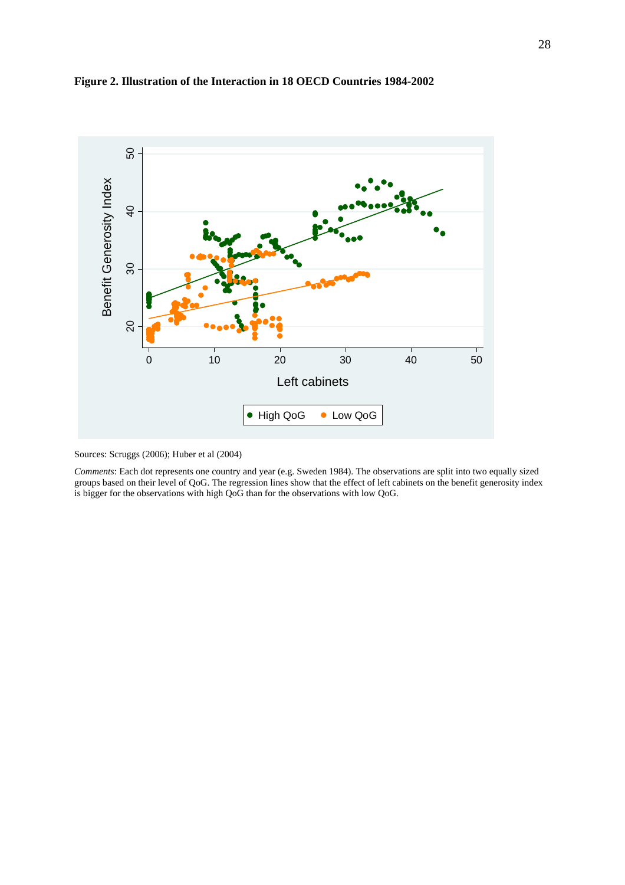



Sources: Scruggs (2006); Huber et al (2004)

*Comments*: Each dot represents one country and year (e.g. Sweden 1984). The observations are split into two equally sized groups based on their level of QoG. The regression lines show that the effect of left cabinets on the benefit generosity index is bigger for the observations with high QoG than for the observations with low QoG.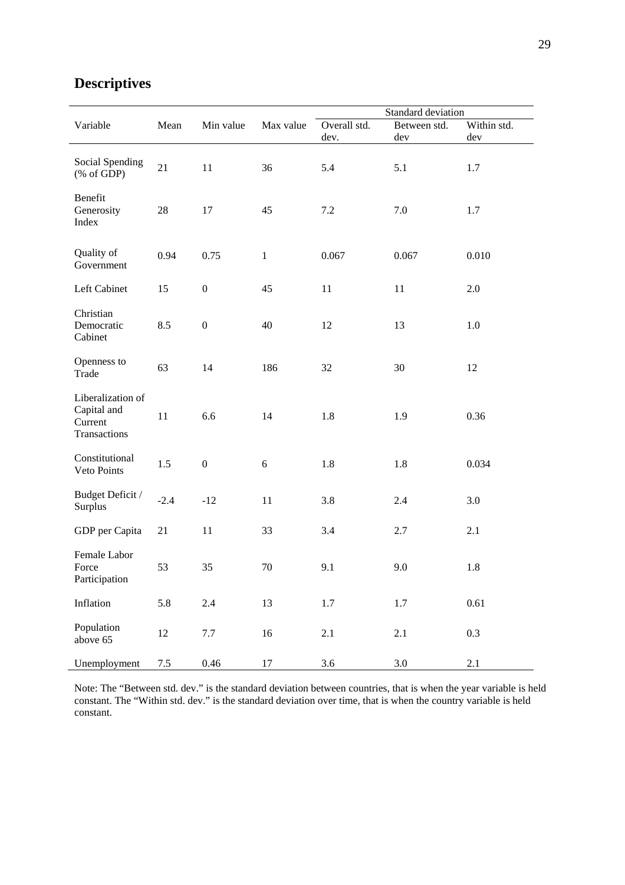| Variable                                                                 | Mean   | Min value        | Max value | Standard deviation |              |             |
|--------------------------------------------------------------------------|--------|------------------|-----------|--------------------|--------------|-------------|
|                                                                          |        |                  |           | Overall std.       | Between std. | Within std. |
|                                                                          |        |                  |           | dev.               | dev          | dev         |
| Social Spending<br>$(% \mathcal{L}_{0} \cap \mathcal{L}_{1})$ (% of GDP) | 21     | 11               | 36        | 5.4                | 5.1          | 1.7         |
| Benefit<br>Generosity<br>Index                                           | 28     | 17               | 45        | 7.2                | 7.0          | 1.7         |
| Quality of<br>Government                                                 | 0.94   | 0.75             | $1\,$     | 0.067              | 0.067        | 0.010       |
| Left Cabinet                                                             | 15     | $\boldsymbol{0}$ | 45        | 11                 | 11           | 2.0         |
| Christian<br>Democratic<br>Cabinet                                       | 8.5    | $\boldsymbol{0}$ | 40        | 12                 | 13           | 1.0         |
| Openness to<br>Trade                                                     | 63     | 14               | 186       | 32                 | 30           | 12          |
| Liberalization of<br>Capital and<br>Current<br>Transactions              | $11\,$ | 6.6              | 14        | 1.8                | 1.9          | 0.36        |
| Constitutional<br>Veto Points                                            | 1.5    | $\boldsymbol{0}$ | 6         | 1.8                | 1.8          | 0.034       |
| Budget Deficit /<br>Surplus                                              | $-2.4$ | $-12$            | 11        | 3.8                | 2.4          | 3.0         |
| GDP per Capita                                                           | 21     | 11               | 33        | 3.4                | 2.7          | 2.1         |
| Female Labor<br>Force<br>Participation                                   | 53     | 35               | 70        | 9.1                | 9.0          | 1.8         |
| Inflation                                                                | 5.8    | 2.4              | 13        | 1.7                | 1.7          | 0.61        |
| Population<br>above 65                                                   | 12     | 7.7              | 16        | 2.1                | 2.1          | 0.3         |
| Unemployment                                                             | 7.5    | 0.46             | 17        | 3.6                | $3.0\,$      | 2.1         |

# **Descriptives**

Note: The "Between std. dev." is the standard deviation between countries, that is when the year variable is held constant. The "Within std. dev." is the standard deviation over time, that is when the country variable is held constant.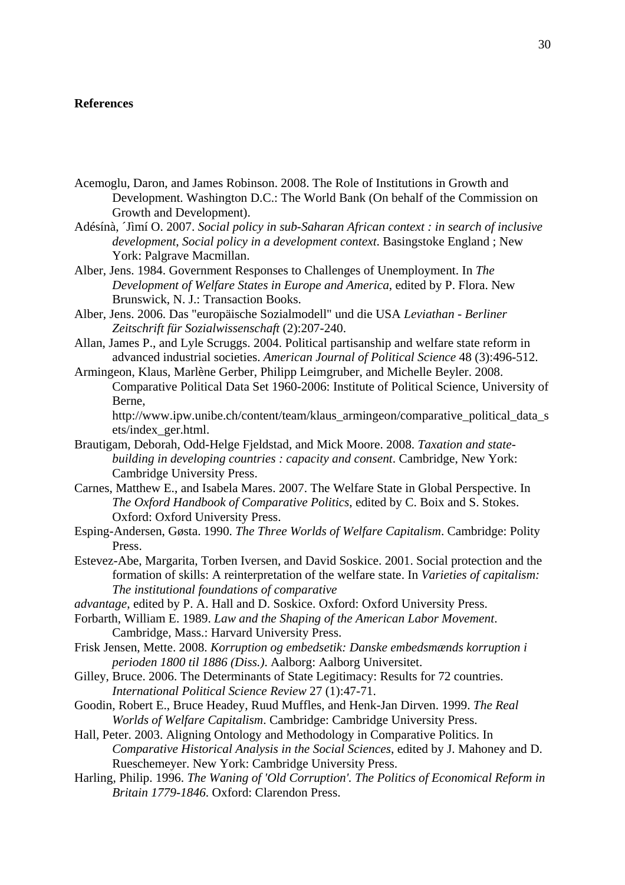### **References**

- Acemoglu, Daron, and James Robinson. 2008. The Role of Institutions in Growth and Development. Washington D.C.: The World Bank (On behalf of the Commission on Growth and Development).
- Adésínà, ´Jìmí O. 2007. *Social policy in sub-Saharan African context : in search of inclusive development*, *Social policy in a development context*. Basingstoke England ; New York: Palgrave Macmillan.
- Alber, Jens. 1984. Government Responses to Challenges of Unemployment. In *The Development of Welfare States in Europe and America*, edited by P. Flora. New Brunswick, N. J.: Transaction Books.
- Alber, Jens. 2006. Das "europäische Sozialmodell" und die USA *Leviathan Berliner Zeitschrift für Sozialwissenschaft* (2):207-240.
- Allan, James P., and Lyle Scruggs. 2004. Political partisanship and welfare state reform in advanced industrial societies. *American Journal of Political Science* 48 (3):496-512.
- Armingeon, Klaus, Marlène Gerber, Philipp Leimgruber, and Michelle Beyler. 2008. Comparative Political Data Set 1960-2006: Institute of Political Science, University of Berne,

http://www.ipw.unibe.ch/content/team/klaus\_armingeon/comparative\_political\_data\_s ets/index\_ger.html.

- Brautigam, Deborah, Odd-Helge Fjeldstad, and Mick Moore. 2008. *Taxation and statebuilding in developing countries : capacity and consent*. Cambridge, New York: Cambridge University Press.
- Carnes, Matthew E., and Isabela Mares. 2007. The Welfare State in Global Perspective. In *The Oxford Handbook of Comparative Politics*, edited by C. Boix and S. Stokes. Oxford: Oxford University Press.
- Esping-Andersen, Gøsta. 1990. *The Three Worlds of Welfare Capitalism*. Cambridge: Polity Press.
- Estevez-Abe, Margarita, Torben Iversen, and David Soskice. 2001. Social protection and the formation of skills: A reinterpretation of the welfare state. In *Varieties of capitalism: The institutional foundations of comparative*
- *advantage*, edited by P. A. Hall and D. Soskice. Oxford: Oxford University Press.
- Forbarth, William E. 1989. *Law and the Shaping of the American Labor Movement*. Cambridge, Mass.: Harvard University Press.
- Frisk Jensen, Mette. 2008. *Korruption og embedsetik: Danske embedsmænds korruption i perioden 1800 til 1886 (Diss.)*. Aalborg: Aalborg Universitet.
- Gilley, Bruce. 2006. The Determinants of State Legitimacy: Results for 72 countries. *International Political Science Review* 27 (1):47-71.
- Goodin, Robert E., Bruce Headey, Ruud Muffles, and Henk-Jan Dirven. 1999. *The Real Worlds of Welfare Capitalism*. Cambridge: Cambridge University Press.
- Hall, Peter. 2003. Aligning Ontology and Methodology in Comparative Politics. In *Comparative Historical Analysis in the Social Sciences*, edited by J. Mahoney and D. Rueschemeyer. New York: Cambridge University Press.
- Harling, Philip. 1996. *The Waning of 'Old Corruption'. The Politics of Economical Reform in Britain 1779-1846*. Oxford: Clarendon Press.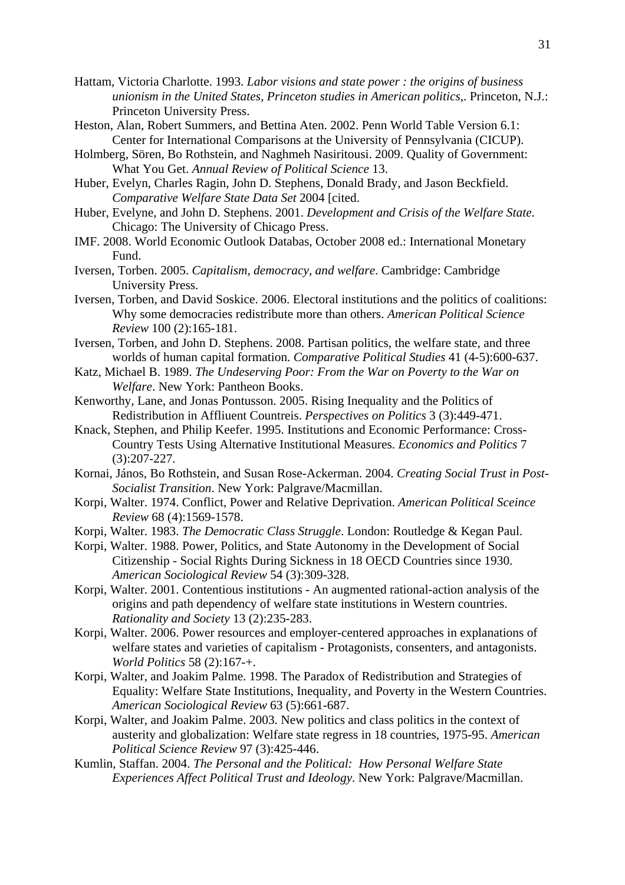- Hattam, Victoria Charlotte. 1993. *Labor visions and state power : the origins of business unionism in the United States*, *Princeton studies in American politics,*. Princeton, N.J.: Princeton University Press.
- Heston, Alan, Robert Summers, and Bettina Aten. 2002. Penn World Table Version 6.1: Center for International Comparisons at the University of Pennsylvania (CICUP).
- Holmberg, Sören, Bo Rothstein, and Naghmeh Nasiritousi. 2009. Quality of Government: What You Get. *Annual Review of Political Science* 13.
- Huber, Evelyn, Charles Ragin, John D. Stephens, Donald Brady, and Jason Beckfield. *Comparative Welfare State Data Set* 2004 [cited.
- Huber, Evelyne, and John D. Stephens. 2001. *Development and Crisis of the Welfare State*. Chicago: The University of Chicago Press.
- IMF. 2008. World Economic Outlook Databas, October 2008 ed.: International Monetary Fund.
- Iversen, Torben. 2005. *Capitalism, democracy, and welfare*. Cambridge: Cambridge University Press.
- Iversen, Torben, and David Soskice. 2006. Electoral institutions and the politics of coalitions: Why some democracies redistribute more than others. *American Political Science Review* 100 (2):165-181.
- Iversen, Torben, and John D. Stephens. 2008. Partisan politics, the welfare state, and three worlds of human capital formation. *Comparative Political Studies* 41 (4-5):600-637.
- Katz, Michael B. 1989. *The Undeserving Poor: From the War on Poverty to the War on Welfare*. New York: Pantheon Books.
- Kenworthy, Lane, and Jonas Pontusson. 2005. Rising Inequality and the Politics of Redistribution in Affliuent Countreis. *Perspectives on Politics* 3 (3):449-471.
- Knack, Stephen, and Philip Keefer. 1995. Institutions and Economic Performance: Cross-Country Tests Using Alternative Institutional Measures. *Economics and Politics* 7 (3):207-227.
- Kornai, János, Bo Rothstein, and Susan Rose-Ackerman. 2004. *Creating Social Trust in Post-Socialist Transition*. New York: Palgrave/Macmillan.
- Korpi, Walter. 1974. Conflict, Power and Relative Deprivation. *American Political Sceince Review* 68 (4):1569-1578.
- Korpi, Walter. 1983. *The Democratic Class Struggle*. London: Routledge & Kegan Paul.
- Korpi, Walter. 1988. Power, Politics, and State Autonomy in the Development of Social Citizenship - Social Rights During Sickness in 18 OECD Countries since 1930. *American Sociological Review* 54 (3):309-328.
- Korpi, Walter. 2001. Contentious institutions An augmented rational-action analysis of the origins and path dependency of welfare state institutions in Western countries. *Rationality and Society* 13 (2):235-283.
- Korpi, Walter. 2006. Power resources and employer-centered approaches in explanations of welfare states and varieties of capitalism - Protagonists, consenters, and antagonists. *World Politics* 58 (2):167-+.
- Korpi, Walter, and Joakim Palme. 1998. The Paradox of Redistribution and Strategies of Equality: Welfare State Institutions, Inequality, and Poverty in the Western Countries. *American Sociological Review* 63 (5):661-687.
- Korpi, Walter, and Joakim Palme. 2003. New politics and class politics in the context of austerity and globalization: Welfare state regress in 18 countries, 1975-95. *American Political Science Review* 97 (3):425-446.
- Kumlin, Staffan. 2004. *The Personal and the Political: How Personal Welfare State Experiences Affect Political Trust and Ideology*. New York: Palgrave/Macmillan.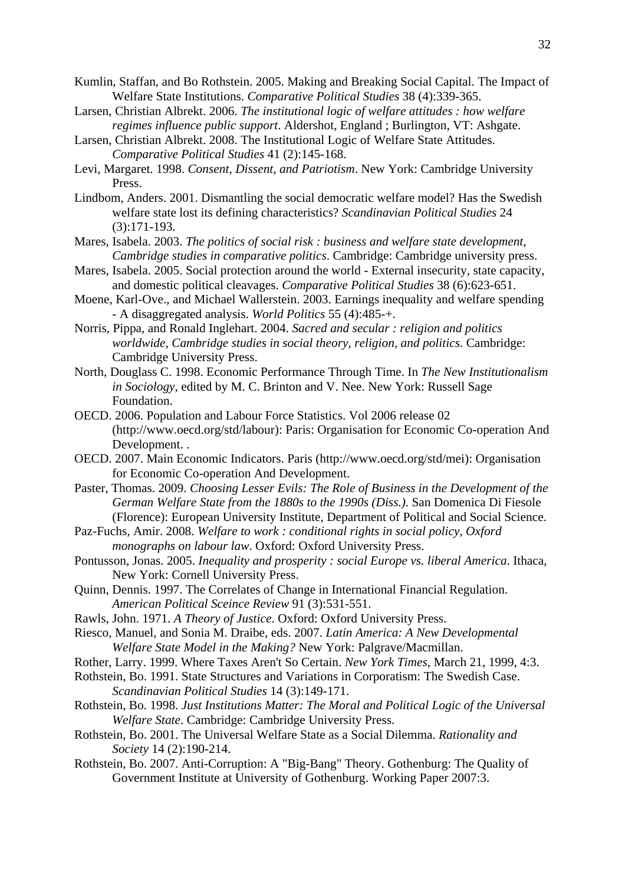- Kumlin, Staffan, and Bo Rothstein. 2005. Making and Breaking Social Capital. The Impact of Welfare State Institutions. *Comparative Political Studies* 38 (4):339-365.
- Larsen, Christian Albrekt. 2006. *The institutional logic of welfare attitudes : how welfare regimes influence public support*. Aldershot, England ; Burlington, VT: Ashgate.
- Larsen, Christian Albrekt. 2008. The Institutional Logic of Welfare State Attitudes. *Comparative Political Studies* 41 (2):145-168.
- Levi, Margaret. 1998. *Consent, Dissent, and Patriotism*. New York: Cambridge University Press.
- Lindbom, Anders. 2001. Dismantling the social democratic welfare model? Has the Swedish welfare state lost its defining characteristics? *Scandinavian Political Studies* 24 (3):171-193.
- Mares, Isabela. 2003. *The politics of social risk : business and welfare state development*, *Cambridge studies in comparative politics*. Cambridge: Cambridge university press.
- Mares, Isabela. 2005. Social protection around the world External insecurity, state capacity, and domestic political cleavages. *Comparative Political Studies* 38 (6):623-651.
- Moene, Karl-Ove., and Michael Wallerstein. 2003. Earnings inequality and welfare spending - A disaggregated analysis. *World Politics* 55 (4):485-+.
- Norris, Pippa, and Ronald Inglehart. 2004. *Sacred and secular : religion and politics worldwide*, *Cambridge studies in social theory, religion, and politics*. Cambridge: Cambridge University Press.
- North, Douglass C. 1998. Economic Performance Through Time. In *The New Institutionalism in Sociology*, edited by M. C. Brinton and V. Nee. New York: Russell Sage Foundation.
- OECD. 2006. Population and Labour Force Statistics. Vol 2006 release 02 (http://www.oecd.org/std/labour): Paris: Organisation for Economic Co-operation And Development. .
- OECD. 2007. Main Economic Indicators. Paris (http://www.oecd.org/std/mei): Organisation for Economic Co-operation And Development.
- Paster, Thomas. 2009. *Choosing Lesser Evils: The Role of Business in the Development of the German Welfare State from the 1880s to the 1990s (Diss.)*. San Domenica Di Fiesole (Florence): European University Institute, Department of Political and Social Science.
- Paz-Fuchs, Amir. 2008. *Welfare to work : conditional rights in social policy*, *Oxford monographs on labour law*. Oxford: Oxford University Press.
- Pontusson, Jonas. 2005. *Inequality and prosperity : social Europe vs. liberal America*. Ithaca, New York: Cornell University Press.
- Quinn, Dennis. 1997. The Correlates of Change in International Financial Regulation. *American Political Sceince Review* 91 (3):531-551.
- Rawls, John. 1971. *A Theory of Justice*. Oxford: Oxford University Press.
- Riesco, Manuel, and Sonia M. Draibe, eds. 2007. *Latin America: A New Developmental Welfare State Model in the Making?* New York: Palgrave/Macmillan.
- Rother, Larry. 1999. Where Taxes Aren't So Certain. *New York Times*, March 21, 1999, 4:3.
- Rothstein, Bo. 1991. State Structures and Variations in Corporatism: The Swedish Case. *Scandinavian Political Studies* 14 (3):149-171.
- Rothstein, Bo. 1998. *Just Institutions Matter: The Moral and Political Logic of the Universal Welfare State*. Cambridge: Cambridge University Press.
- Rothstein, Bo. 2001. The Universal Welfare State as a Social Dilemma. *Rationality and Society* 14 (2):190-214.
- Rothstein, Bo. 2007. Anti-Corruption: A "Big-Bang" Theory. Gothenburg: The Quality of Government Institute at University of Gothenburg. Working Paper 2007:3.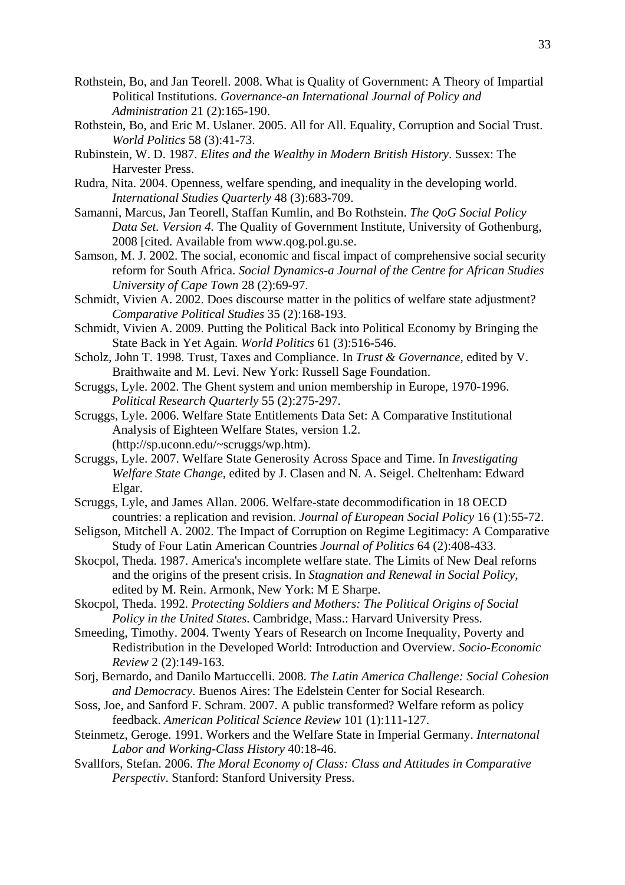- Rothstein, Bo, and Jan Teorell. 2008. What is Quality of Government: A Theory of Impartial Political Institutions. *Governance-an International Journal of Policy and Administration* 21 (2):165-190.
- Rothstein, Bo, and Eric M. Uslaner. 2005. All for All. Equality, Corruption and Social Trust. *World Politics* 58 (3):41-73.
- Rubinstein, W. D. 1987. *Elites and the Wealthy in Modern British History*. Sussex: The Harvester Press.
- Rudra, Nita. 2004. Openness, welfare spending, and inequality in the developing world. *International Studies Quarterly* 48 (3):683-709.
- Samanni, Marcus, Jan Teorell, Staffan Kumlin, and Bo Rothstein. *The QoG Social Policy Data Set. Version 4.* The Quality of Government Institute, University of Gothenburg, 2008 [cited. Available from www.qog.pol.gu.se.
- Samson, M. J. 2002. The social, economic and fiscal impact of comprehensive social security reform for South Africa. *Social Dynamics-a Journal of the Centre for African Studies University of Cape Town* 28 (2):69-97.
- Schmidt, Vivien A. 2002. Does discourse matter in the politics of welfare state adjustment? *Comparative Political Studies* 35 (2):168-193.
- Schmidt, Vivien A. 2009. Putting the Political Back into Political Economy by Bringing the State Back in Yet Again. *World Politics* 61 (3):516-546.
- Scholz, John T. 1998. Trust, Taxes and Compliance. In *Trust & Governance*, edited by V. Braithwaite and M. Levi. New York: Russell Sage Foundation.
- Scruggs, Lyle. 2002. The Ghent system and union membership in Europe, 1970-1996. *Political Research Quarterly* 55 (2):275-297.
- Scruggs, Lyle. 2006. Welfare State Entitlements Data Set: A Comparative Institutional Analysis of Eighteen Welfare States, version 1.2. (http://sp.uconn.edu/~scruggs/wp.htm).
- Scruggs, Lyle. 2007. Welfare State Generosity Across Space and Time. In *Investigating Welfare State Change*, edited by J. Clasen and N. A. Seigel. Cheltenham: Edward Elgar.
- Scruggs, Lyle, and James Allan. 2006. Welfare-state decommodification in 18 OECD countries: a replication and revision. *Journal of European Social Policy* 16 (1):55-72.
- Seligson, Mitchell A. 2002. The Impact of Corruption on Regime Legitimacy: A Comparative Study of Four Latin American Countries *Journal of Politics* 64 (2):408-433.
- Skocpol, Theda. 1987. America's incomplete welfare state. The Limits of New Deal reforns and the origins of the present crisis. In *Stagnation and Renewal in Social Policy*, edited by M. Rein. Armonk, New York: M E Sharpe.
- Skocpol, Theda. 1992. *Protecting Soldiers and Mothers: The Political Origins of Social Policy in the United States*. Cambridge, Mass.: Harvard University Press.
- Smeeding, Timothy. 2004. Twenty Years of Research on Income Inequality, Poverty and Redistribution in the Developed World: Introduction and Overview. *Socio-Economic Review* 2 (2):149-163.
- Sorj, Bernardo, and Danilo Martuccelli. 2008. *The Latin America Challenge: Social Cohesion and Democracy*. Buenos Aires: The Edelstein Center for Social Research.
- Soss, Joe, and Sanford F. Schram. 2007. A public transformed? Welfare reform as policy feedback. *American Political Science Review* 101 (1):111-127.
- Steinmetz, Geroge. 1991. Workers and the Welfare State in Imperial Germany. *Internatonal Labor and Working-Class History* 40:18-46.
- Svallfors, Stefan. 2006. *The Moral Economy of Class: Class and Attitudes in Comparative Perspectiv*. Stanford: Stanford University Press.